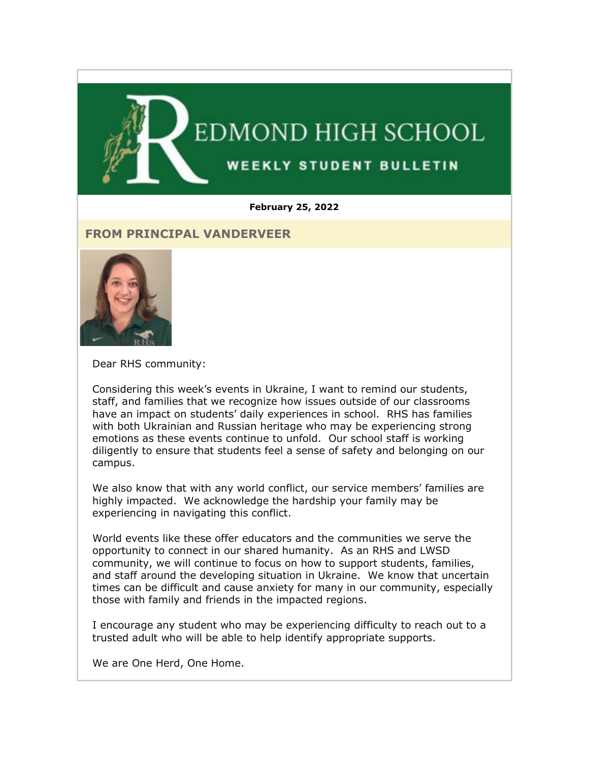

#### **February 25, 2022**

#### **FROM PRINCIPAL VANDERVEER**



Dear RHS community:

Considering this week's events in Ukraine, I want to remind our students, staff, and families that we recognize how issues outside of our classrooms have an impact on students' daily experiences in school. RHS has families with both Ukrainian and Russian heritage who may be experiencing strong emotions as these events continue to unfold. Our school staff is working diligently to ensure that students feel a sense of safety and belonging on our campus.

We also know that with any world conflict, our service members' families are highly impacted. We acknowledge the hardship your family may be experiencing in navigating this conflict.

World events like these offer educators and the communities we serve the opportunity to connect in our shared humanity. As an RHS and LWSD community, we will continue to focus on how to support students, families, and staff around the developing situation in Ukraine. We know that uncertain times can be difficult and cause anxiety for many in our community, especially those with family and friends in the impacted regions.

I encourage any student who may be experiencing difficulty to reach out to a trusted adult who will be able to help identify appropriate supports.

We are One Herd, One Home.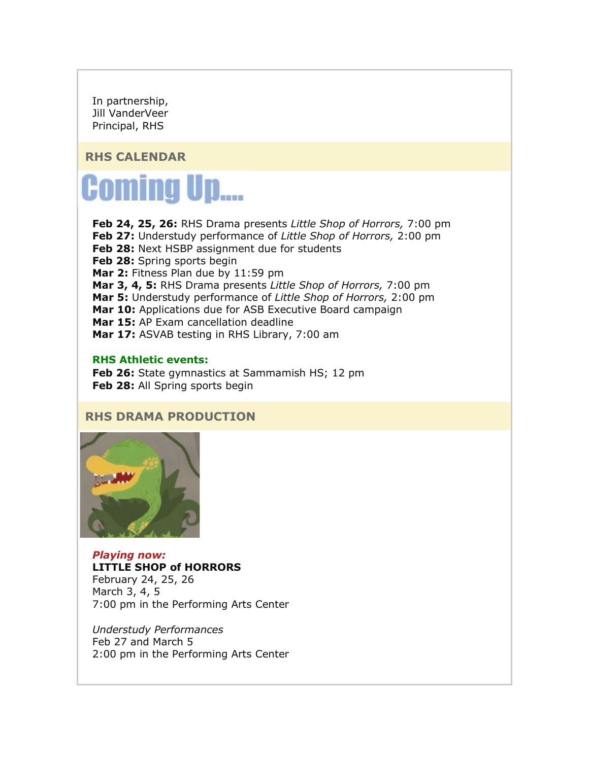In partnership, Jill VanderVeer Principal, RHS

## **RHS CALENDAR**

# **Coming Up....**

**Feb 24, 25, 26:** RHS Drama presents *Little Shop of Horrors,* 7:00 pm **Feb 27:** Understudy performance of *Little Shop of Horrors,* 2:00 pm **Feb 28:** Next HSBP assignment due for students **Feb 28:** Spring sports begin **Mar 2:** Fitness Plan due by 11:59 pm **Mar 3, 4, 5:** RHS Drama presents *Little Shop of Horrors,* 7:00 pm **Mar 5:** Understudy performance of *Little Shop of Horrors,* 2:00 pm **Mar 10:** Applications due for ASB Executive Board campaign **Mar 15:** AP Exam cancellation deadline **Mar 17:** ASVAB testing in RHS Library, 7:00 am

#### **RHS Athletic events:**

**Feb 26:** State gymnastics at Sammamish HS; 12 pm **Feb 28:** All Spring sports begin

## **RHS DRAMA PRODUCTION**



*Playing now:*  **LITTLE SHOP of HORRORS** February 24, 25, 26 March 3, 4, 5 7:00 pm in the Performing Arts Center

*Understudy Performances* Feb 27 and March 5 2:00 pm in the Performing Arts Center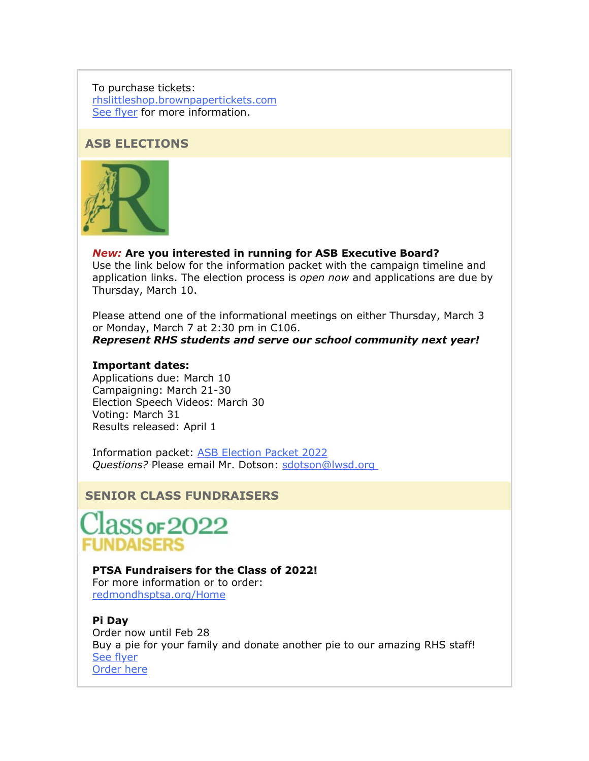To purchase tickets: [rhslittleshop.brownpapertickets.com](https://nam02.safelinks.protection.outlook.com/?url=http%3A%2F%2Flink.email.dynect.net%2Flink.php%3FDynEngagement%3Dtrue%26H%3De%252BlHqQR4V3v4VMvJ3m0NDL9Oyn7EjMegyw%252Bn2w4NNScdI7r2YcSRy2YdWdBdlvVoZRf4TXbw4L7LOlkoByYYHYkaVzl64XmH55G6VMz76DuJzEYB9brhAw%253D%253D%26G%3D0%26R%3Dhttps%253A%252F%252FSMPJGYZTANA.hatchbuck.com%252FTrackLinkClick%253FID2%253Dbh_lO7Iq2cInR4506PIur3O2Ycjaq_rnsdDsYMggHs6-BR9pyEbaljbYNl8gPadM0%26I%3D20220225232215.000000ace0ae%2540smtp-ad2-50-phx%26X%3DMHwxMjY0OTIyOjI1MDE5MjY2NTU7MXwxMjY0OTIzOjE5NzE4OTE5Mjs%253D%26V%3D3%26S%3DFLtOu_hv_ekmsVeHrqOXdCPckMiLs2MKlGZZf21dztI&data=04%7C01%7Cmwood%40lwsd.org%7C42e18cd879474e61e2c408d9f8b5a9be%7C1fd4673fdf9646218638a1d88c4c85d7%7C0%7C0%7C637814281399590135%7CUnknown%7CTWFpbGZsb3d8eyJWIjoiMC4wLjAwMDAiLCJQIjoiV2luMzIiLCJBTiI6Ik1haWwiLCJXVCI6Mn0%3D%7C3000&sdata=U8tcz1TqUTwBdUKOqM9afoFDeiMFAUbDE%2BPMhcRC5eY%3D&reserved=0) [See flyer](https://nam02.safelinks.protection.outlook.com/?url=http%3A%2F%2Flink.email.dynect.net%2Flink.php%3FDynEngagement%3Dtrue%26H%3De%252BlHqQR4V3v4VMvJ3m0NDL9Oyn7EjMegyw%252Bn2w4NNScdI7r2YcSRy2YdWdBdlvVoZRf4TXbw4L7LOlkoByYYHYkaVzl64XmH55G6VMz76DuJzEYB9brhAw%253D%253D%26G%3D0%26R%3Dhttps%253A%252F%252FSMPJGYZTANA.hatchbuck.com%252FTrackLinkClick%253FID2%253Dadzjvesce6Xy77gIK4aXWNKpBmNL8Z__vY7OR6jcrjQgkdZL3Wc8vNaszhT2cpEZ0%26I%3D20220225232215.000000ace0ae%2540smtp-ad2-50-phx%26X%3DMHwxMjY0OTIyOjI1MDE5MjY2NTU7MXwxMjY0OTIzOjE5NzE4OTE5Mjs%253D%26V%3D3%26S%3DzJu8EIB01wtMo9lgYtNIEs00LnNvFtCKqAuwoTVBTMc&data=04%7C01%7Cmwood%40lwsd.org%7C42e18cd879474e61e2c408d9f8b5a9be%7C1fd4673fdf9646218638a1d88c4c85d7%7C0%7C0%7C637814281399590135%7CUnknown%7CTWFpbGZsb3d8eyJWIjoiMC4wLjAwMDAiLCJQIjoiV2luMzIiLCJBTiI6Ik1haWwiLCJXVCI6Mn0%3D%7C3000&sdata=Ij9hMjLwK5JH5WKopU2oX6YoTBLKNFgKygi5hrEYNn8%3D&reserved=0) for more information.

#### **ASB ELECTIONS**



#### *New:* **Are you interested in running for ASB Executive Board?** Use the link below for the information packet with the campaign timeline and application links. The election process is *open now* and applications are due by Thursday, March 10.

Please attend one of the informational meetings on either Thursday, March 3 or Monday, March 7 at 2:30 pm in C106.

*Represent RHS students and serve our school community next year!* 

#### **Important dates:**

Applications due: March 10 Campaigning: March 21-30 Election Speech Videos: March 30 Voting: March 31 Results released: April 1

Information packet: [ASB Election Packet 2022](https://nam02.safelinks.protection.outlook.com/?url=http%3A%2F%2Flink.email.dynect.net%2Flink.php%3FDynEngagement%3Dtrue%26H%3De%252BlHqQR4V3v4VMvJ3m0NDL9Oyn7EjMegyw%252Bn2w4NNScdI7r2YcSRy2YdWdBdlvVoZRf4TXbw4L7LOlkoByYYHYkaVzl64XmH55G6VMz76DuJzEYB9brhAw%253D%253D%26G%3D0%26R%3Dhttps%253A%252F%252FSMPJGYZTANA.hatchbuck.com%252FTrackLinkClick%253FID2%253D-FN80wXtE6LrNqAmtBf7LJNh9AIQe-jUrGtiBEdLxMsojTrneddEjoeLm31jf-WA0%26I%3D20220225232215.000000ace0ae%2540smtp-ad2-50-phx%26X%3DMHwxMjY0OTIyOjI1MDE5MjY2NTU7MXwxMjY0OTIzOjE5NzE4OTE5Mjs%253D%26V%3D3%26S%3DP3aqoz1RLx1pLwYreHht1-JBKev0bf7homl7acnqQrk&data=04%7C01%7Cmwood%40lwsd.org%7C42e18cd879474e61e2c408d9f8b5a9be%7C1fd4673fdf9646218638a1d88c4c85d7%7C0%7C0%7C637814281399590135%7CUnknown%7CTWFpbGZsb3d8eyJWIjoiMC4wLjAwMDAiLCJQIjoiV2luMzIiLCJBTiI6Ik1haWwiLCJXVCI6Mn0%3D%7C3000&sdata=ikYblrlv7s%2Fgo05NtO7ZZUtJaIZttfLxrPlNhpheVYg%3D&reserved=0) *Questions?* Please email Mr. Dotson: [sdotson@lwsd.org](mailto:sdotson@lwsd.org)

## **SENIOR CLASS FUNDRAISERS**



#### **PTSA Fundraisers for the Class of 2022!**

For more information or to order: [redmondhsptsa.org/Home](https://nam02.safelinks.protection.outlook.com/?url=http%3A%2F%2Flink.email.dynect.net%2Flink.php%3FDynEngagement%3Dtrue%26H%3De%252BlHqQR4V3v4VMvJ3m0NDL9Oyn7EjMegyw%252Bn2w4NNScdI7r2YcSRy2YdWdBdlvVoZRf4TXbw4L7LOlkoByYYHYkaVzl64XmH55G6VMz76DuJzEYB9brhAw%253D%253D%26G%3D0%26R%3Dhttps%253A%252F%252FSMPJGYZTANA.hatchbuck.com%252FTrackLinkClick%253FID2%253DIyfu3QOscIVgqGiAIKuFLdIGhiooTsMQaKU_3j9pmalGrdPpTUG4VOGusQnEpitu0%26I%3D20220225232215.000000ace0ae%2540smtp-ad2-50-phx%26X%3DMHwxMjY0OTIyOjI1MDE5MjY2NTU7MXwxMjY0OTIzOjE5NzE4OTE5Mjs%253D%26V%3D3%26S%3DCXeELVRT5BUtIcDXFEyeQLAmplhazudqHtUYohZC-2c&data=04%7C01%7Cmwood%40lwsd.org%7C42e18cd879474e61e2c408d9f8b5a9be%7C1fd4673fdf9646218638a1d88c4c85d7%7C0%7C0%7C637814281399590135%7CUnknown%7CTWFpbGZsb3d8eyJWIjoiMC4wLjAwMDAiLCJQIjoiV2luMzIiLCJBTiI6Ik1haWwiLCJXVCI6Mn0%3D%7C3000&sdata=SLftwJx5Oc78kvcvST7tVQBZ47m5BaPm%2F7HZN2za%2FHw%3D&reserved=0)

#### **Pi Day**

Order now until Feb 28 Buy a pie for your family and donate another pie to our amazing RHS staff! [See flyer](https://nam02.safelinks.protection.outlook.com/?url=http%3A%2F%2Flink.email.dynect.net%2Flink.php%3FDynEngagement%3Dtrue%26H%3De%252BlHqQR4V3v4VMvJ3m0NDL9Oyn7EjMegyw%252Bn2w4NNScdI7r2YcSRy2YdWdBdlvVoZRf4TXbw4L7LOlkoByYYHYkaVzl64XmH55G6VMz76DuJzEYB9brhAw%253D%253D%26G%3D0%26R%3Dhttps%253A%252F%252FSMPJGYZTANA.hatchbuck.com%252FTrackLinkClick%253FID2%253Dup4XxdMbaqpdlFUfCtFNp_31FJoz1tXfBcRi1WPT48eWBzdDx2-X3afpyh4qdQ-T0%26I%3D20220225232215.000000ace0ae%2540smtp-ad2-50-phx%26X%3DMHwxMjY0OTIyOjI1MDE5MjY2NTU7MXwxMjY0OTIzOjE5NzE4OTE5Mjs%253D%26V%3D3%26S%3Dk1mRBh1v8gV-aYgdY2poi3tZVqQLemXmYNkisPGSZkc&data=04%7C01%7Cmwood%40lwsd.org%7C42e18cd879474e61e2c408d9f8b5a9be%7C1fd4673fdf9646218638a1d88c4c85d7%7C0%7C0%7C637814281399590135%7CUnknown%7CTWFpbGZsb3d8eyJWIjoiMC4wLjAwMDAiLCJQIjoiV2luMzIiLCJBTiI6Ik1haWwiLCJXVCI6Mn0%3D%7C3000&sdata=ZT%2B92OwQ1d20U9si%2FuL2CVtc%2B5B7QI9p3VKTsG198XI%3D&reserved=0) [Order here](https://nam02.safelinks.protection.outlook.com/?url=http%3A%2F%2Flink.email.dynect.net%2Flink.php%3FDynEngagement%3Dtrue%26H%3De%252BlHqQR4V3v4VMvJ3m0NDL9Oyn7EjMegyw%252Bn2w4NNScdI7r2YcSRy2YdWdBdlvVoZRf4TXbw4L7LOlkoByYYHYkaVzl64XmH55G6VMz76DuJzEYB9brhAw%253D%253D%26G%3D0%26R%3Dhttps%253A%252F%252FSMPJGYZTANA.hatchbuck.com%252FTrackLinkClick%253FID2%253DDVlUcQMnFNgPlPsnLX7IfPt-xH9ZL2WqQ-I0w1yUBI-7E0Xb1wWc_R0zQMtEDfum0%26I%3D20220225232215.000000ace0ae%2540smtp-ad2-50-phx%26X%3DMHwxMjY0OTIyOjI1MDE5MjY2NTU7MXwxMjY0OTIzOjE5NzE4OTE5Mjs%253D%26V%3D3%26S%3D3gx4le1VlB64T2tc7MzQBu4MWe0IPLbdp1GxIeJe1Qw&data=04%7C01%7Cmwood%40lwsd.org%7C42e18cd879474e61e2c408d9f8b5a9be%7C1fd4673fdf9646218638a1d88c4c85d7%7C0%7C0%7C637814281399590135%7CUnknown%7CTWFpbGZsb3d8eyJWIjoiMC4wLjAwMDAiLCJQIjoiV2luMzIiLCJBTiI6Ik1haWwiLCJXVCI6Mn0%3D%7C3000&sdata=s4p86hI8A16VIMISrFRC9JrHdC87r%2Fmg2l4mKFFNq6o%3D&reserved=0)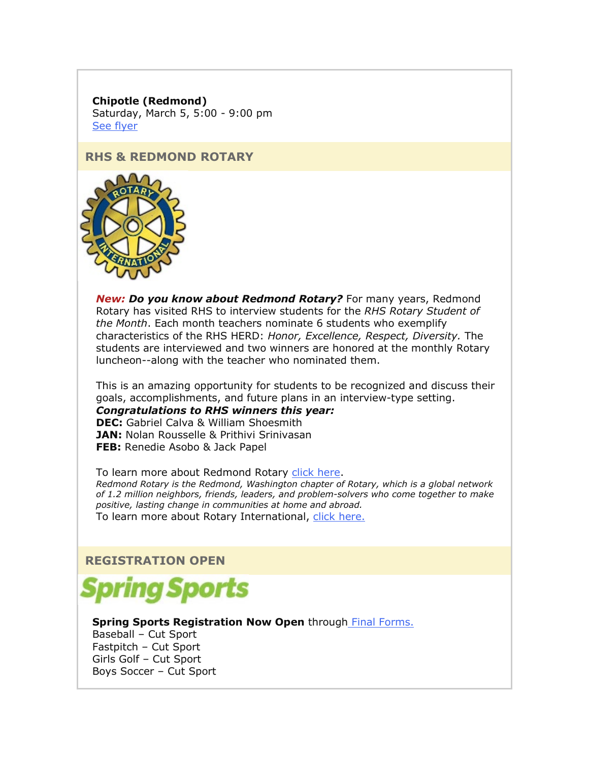**Chipotle (Redmond)**

Saturday, March 5, 5:00 - 9:00 pm [See flyer](https://nam02.safelinks.protection.outlook.com/?url=http%3A%2F%2Flink.email.dynect.net%2Flink.php%3FDynEngagement%3Dtrue%26H%3De%252BlHqQR4V3v4VMvJ3m0NDL9Oyn7EjMegyw%252Bn2w4NNScdI7r2YcSRy2YdWdBdlvVoZRf4TXbw4L7LOlkoByYYHYkaVzl64XmH55G6VMz76DuJzEYB9brhAw%253D%253D%26G%3D0%26R%3Dhttps%253A%252F%252FSMPJGYZTANA.hatchbuck.com%252FTrackLinkClick%253FID2%253DhuQYQ3T2ZzUUb3nrhp9pzdMzmdSAQ7Lc3xtntdpcNETzeon07L6wnGGhxFWvI_3a0%26I%3D20220225232215.000000ace0ae%2540smtp-ad2-50-phx%26X%3DMHwxMjY0OTIyOjI1MDE5MjY2NTU7MXwxMjY0OTIzOjE5NzE4OTE5Mjs%253D%26V%3D3%26S%3DnA2kfMaJ1ZRlcvt2JZJ1IORXWu3sf6tke4YMilYkkAY&data=04%7C01%7Cmwood%40lwsd.org%7C42e18cd879474e61e2c408d9f8b5a9be%7C1fd4673fdf9646218638a1d88c4c85d7%7C0%7C0%7C637814281399590135%7CUnknown%7CTWFpbGZsb3d8eyJWIjoiMC4wLjAwMDAiLCJQIjoiV2luMzIiLCJBTiI6Ik1haWwiLCJXVCI6Mn0%3D%7C3000&sdata=KbOsmEo17NMuO4m1gZyM%2FqwjYe0y7MJV7qPpI0ssvWI%3D&reserved=0)

#### **RHS & REDMOND ROTARY**



*New: Do you know about Redmond Rotary?* For many years, Redmond Rotary has visited RHS to interview students for the *RHS Rotary Student of the Month*. Each month teachers nominate 6 students who exemplify characteristics of the RHS HERD: *Honor, Excellence, Respect, Diversity.* The students are interviewed and two winners are honored at the monthly Rotary luncheon--along with the teacher who nominated them.

This is an amazing opportunity for students to be recognized and discuss their goals, accomplishments, and future plans in an interview-type setting.

*Congratulations to RHS winners this year:* **DEC:** Gabriel Calva & William Shoesmith **JAN: Nolan Rousselle & Prithivi Srinivasan FEB:** Renedie Asobo & Jack Papel

To learn more about Redmond Rotary [click here.](https://nam02.safelinks.protection.outlook.com/?url=http%3A%2F%2Flink.email.dynect.net%2Flink.php%3FDynEngagement%3Dtrue%26H%3De%252BlHqQR4V3v4VMvJ3m0NDL9Oyn7EjMegyw%252Bn2w4NNScdI7r2YcSRy2YdWdBdlvVoZRf4TXbw4L7LOlkoByYYHYkaVzl64XmH55G6VMz76DuJzEYB9brhAw%253D%253D%26G%3D0%26R%3Dhttps%253A%252F%252FSMPJGYZTANA.hatchbuck.com%252FTrackLinkClick%253FID2%253D9sHYIuzhYvAc27G1i6y3us2Ngm1_yV3j7INiBkemVlyvYaQnGON38aZQbDiDHwHb0%26I%3D20220225232215.000000ace0ae%2540smtp-ad2-50-phx%26X%3DMHwxMjY0OTIyOjI1MDE5MjY2NTU7MXwxMjY0OTIzOjE5NzE4OTE5Mjs%253D%26V%3D3%26S%3D8zh1TkaT86ItgUfa4tn8DRJHpBN2zKkgSYXnU2xTmxg&data=04%7C01%7Cmwood%40lwsd.org%7C42e18cd879474e61e2c408d9f8b5a9be%7C1fd4673fdf9646218638a1d88c4c85d7%7C0%7C0%7C637814281399590135%7CUnknown%7CTWFpbGZsb3d8eyJWIjoiMC4wLjAwMDAiLCJQIjoiV2luMzIiLCJBTiI6Ik1haWwiLCJXVCI6Mn0%3D%7C3000&sdata=rCt81d8givDriVr3PSFb6Jx41oRWS6cS9G57fw8SuWU%3D&reserved=0) *Redmond Rotary is the Redmond, Washington chapter of Rotary, which is a global network of 1.2 million neighbors, friends, leaders, and problem-solvers who come together to make positive, lasting change in communities at home and abroad.* To learn more about Rotary International, [click here.](https://nam02.safelinks.protection.outlook.com/?url=http%3A%2F%2Flink.email.dynect.net%2Flink.php%3FDynEngagement%3Dtrue%26H%3De%252BlHqQR4V3v4VMvJ3m0NDL9Oyn7EjMegyw%252Bn2w4NNScdI7r2YcSRy2YdWdBdlvVoZRf4TXbw4L7LOlkoByYYHYkaVzl64XmH55G6VMz76DuJzEYB9brhAw%253D%253D%26G%3D0%26R%3Dhttps%253A%252F%252FSMPJGYZTANA.hatchbuck.com%252FTrackLinkClick%253FID2%253DSHPIR9r42A6YghGWbv5EjuPBuJvkmnbMYhGSQUllIfq1KwXt2XaPMbYohKOGvkI30%26I%3D20220225232215.000000ace0ae%2540smtp-ad2-50-phx%26X%3DMHwxMjY0OTIyOjI1MDE5MjY2NTU7MXwxMjY0OTIzOjE5NzE4OTE5Mjs%253D%26V%3D3%26S%3DuTIlO2UMEoHbMBY8WVasGeTEqwxfHfjp7T1nMJtQtws&data=04%7C01%7Cmwood%40lwsd.org%7C42e18cd879474e61e2c408d9f8b5a9be%7C1fd4673fdf9646218638a1d88c4c85d7%7C0%7C0%7C637814281399590135%7CUnknown%7CTWFpbGZsb3d8eyJWIjoiMC4wLjAwMDAiLCJQIjoiV2luMzIiLCJBTiI6Ik1haWwiLCJXVCI6Mn0%3D%7C3000&sdata=qNhKmBFrj%2FnH6b4IARtVzY6m84f32mYLDyxkVg6Z5%2Fw%3D&reserved=0)

## **REGISTRATION OPEN**



#### **Spring Sports Registration Now Open** through [Final Forms.](https://nam02.safelinks.protection.outlook.com/?url=http%3A%2F%2Flink.email.dynect.net%2Flink.php%3FDynEngagement%3Dtrue%26H%3De%252BlHqQR4V3v4VMvJ3m0NDL9Oyn7EjMegyw%252Bn2w4NNScdI7r2YcSRy2YdWdBdlvVoZRf4TXbw4L7LOlkoByYYHYkaVzl64XmH55G6VMz76DuJzEYB9brhAw%253D%253D%26G%3D0%26R%3Dhttps%253A%252F%252FSMPJGYZTANA.hatchbuck.com%252FTrackLinkClick%253FID2%253D1wbTm94em-tpQ3mkrIg_0ewHNCuJJ0IL4DaJgIbd5Ddq7jjB6HLkCMIY_38DOcUl0%26I%3D20220225232215.000000ace0ae%2540smtp-ad2-50-phx%26X%3DMHwxMjY0OTIyOjI1MDE5MjY2NTU7MXwxMjY0OTIzOjE5NzE4OTE5Mjs%253D%26V%3D3%26S%3DJxQWAIsgAcIYw9wWt0TpESfyvc9egkNEAvEJ6aWWvys&data=04%7C01%7Cmwood%40lwsd.org%7C42e18cd879474e61e2c408d9f8b5a9be%7C1fd4673fdf9646218638a1d88c4c85d7%7C0%7C0%7C637814281399590135%7CUnknown%7CTWFpbGZsb3d8eyJWIjoiMC4wLjAwMDAiLCJQIjoiV2luMzIiLCJBTiI6Ik1haWwiLCJXVCI6Mn0%3D%7C3000&sdata=XwtfCFgw8uHbivTFy49yhcR347Bi0tax4%2BtviRZkCeI%3D&reserved=0)  Baseball – Cut Sport

Fastpitch – Cut Sport Girls Golf – Cut Sport Boys Soccer – Cut Sport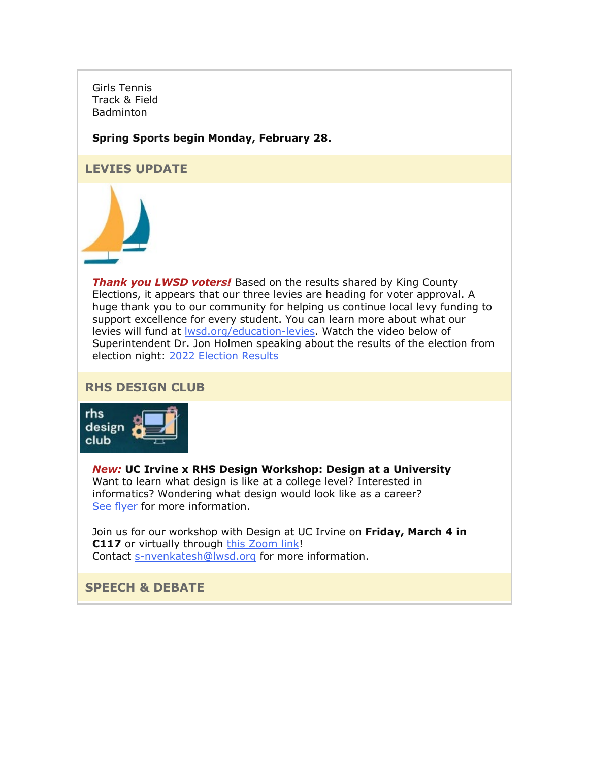Girls Tennis Track & Field **Badminton** 

#### **Spring Sports begin Monday, February 28.**

## **LEVIES UPDATE**



*Thank you LWSD voters!* Based on the results shared by King County Elections, it appears that our three levies are heading for voter approval. A huge thank you to our community for helping us continue local levy funding to support excellence for every student. You can learn more about what our levies will fund at [lwsd.org/education-levies.](https://nam02.safelinks.protection.outlook.com/?url=http%3A%2F%2Flink.email.dynect.net%2Flink.php%3FDynEngagement%3Dtrue%26H%3De%252BlHqQR4V3v4VMvJ3m0NDL9Oyn7EjMegyw%252Bn2w4NNScdI7r2YcSRy2YdWdBdlvVoZRf4TXbw4L7LOlkoByYYHYkaVzl64XmH55G6VMz76DuJzEYB9brhAw%253D%253D%26G%3D0%26R%3Dhttps%253A%252F%252FSMPJGYZTANA.hatchbuck.com%252FTrackLinkClick%253FID2%253DyEwC1Y7wjVrTwx3VTMM4XHaNrUy6hd5oviD4Y-LXmqL1e5-cZOQlI5fO5Kus0AC80%26I%3D20220225232215.000000ace0ae%2540smtp-ad2-50-phx%26X%3DMHwxMjY0OTIyOjI1MDE5MjY2NTU7MXwxMjY0OTIzOjE5NzE4OTE5Mjs%253D%26V%3D3%26S%3DzVGI-JH11Ba02f2VRCl8E1QwMRs1uMjAK7e0cd76NEs&data=04%7C01%7Cmwood%40lwsd.org%7C42e18cd879474e61e2c408d9f8b5a9be%7C1fd4673fdf9646218638a1d88c4c85d7%7C0%7C0%7C637814281399590135%7CUnknown%7CTWFpbGZsb3d8eyJWIjoiMC4wLjAwMDAiLCJQIjoiV2luMzIiLCJBTiI6Ik1haWwiLCJXVCI6Mn0%3D%7C3000&sdata=bgaOU7lQmnHAhz1vvr%2FlKKJwVYZmAT0EukVNuGi6uf8%3D&reserved=0) Watch the video below of Superintendent Dr. Jon Holmen speaking about the results of the election from election night: [2022 Election Results](https://nam02.safelinks.protection.outlook.com/?url=http%3A%2F%2Flink.email.dynect.net%2Flink.php%3FDynEngagement%3Dtrue%26H%3De%252BlHqQR4V3v4VMvJ3m0NDL9Oyn7EjMegyw%252Bn2w4NNScdI7r2YcSRy2YdWdBdlvVoZRf4TXbw4L7LOlkoByYYHYkaVzl64XmH55G6VMz76DuJzEYB9brhAw%253D%253D%26G%3D0%26R%3Dhttps%253A%252F%252FSMPJGYZTANA.hatchbuck.com%252FTrackLinkClick%253FID2%253DEDY6G2WiYOs1KjnOyXsSnBKxWdmQVMU9ARliwEL97-lZU0eZqpE1-UHUS_tb1M7X0%26I%3D20220225232215.000000ace0ae%2540smtp-ad2-50-phx%26X%3DMHwxMjY0OTIyOjI1MDE5MjY2NTU7MXwxMjY0OTIzOjE5NzE4OTE5Mjs%253D%26V%3D3%26S%3DW30nJBixM39skLSigS6yNiFptbendzBYA1yztgsUrEw&data=04%7C01%7Cmwood%40lwsd.org%7C42e18cd879474e61e2c408d9f8b5a9be%7C1fd4673fdf9646218638a1d88c4c85d7%7C0%7C0%7C637814281399590135%7CUnknown%7CTWFpbGZsb3d8eyJWIjoiMC4wLjAwMDAiLCJQIjoiV2luMzIiLCJBTiI6Ik1haWwiLCJXVCI6Mn0%3D%7C3000&sdata=x5VR54gT2i1a3f04ELcNuzbwRDHeGxsP%2FvkTo%2BTBuCo%3D&reserved=0)

#### **RHS DESIGN CLUB**



*New:* **UC Irvine x RHS Design Workshop: Design at a University** Want to learn what design is like at a college level? Interested in informatics? Wondering what design would look like as a career? [See flyer](https://nam02.safelinks.protection.outlook.com/?url=http%3A%2F%2Flink.email.dynect.net%2Flink.php%3FDynEngagement%3Dtrue%26H%3De%252BlHqQR4V3v4VMvJ3m0NDL9Oyn7EjMegyw%252Bn2w4NNScdI7r2YcSRy2YdWdBdlvVoZRf4TXbw4L7LOlkoByYYHYkaVzl64XmH55G6VMz76DuJzEYB9brhAw%253D%253D%26G%3D0%26R%3Dhttps%253A%252F%252FSMPJGYZTANA.hatchbuck.com%252FTrackLinkClick%253FID2%253DvOfc6Oa3raT4oggRqaQLslz_GEWyzFvEjFRa0TB7En6oagV1iByR_PxcHmheyo4W0%26I%3D20220225232215.000000ace0ae%2540smtp-ad2-50-phx%26X%3DMHwxMjY0OTIyOjI1MDE5MjY2NTU7MXwxMjY0OTIzOjE5NzE4OTE5Mjs%253D%26V%3D3%26S%3DmHEKCI1whxHnwcwyh614VeRChfBtNVeuL5dE8etDiFc&data=04%7C01%7Cmwood%40lwsd.org%7C42e18cd879474e61e2c408d9f8b5a9be%7C1fd4673fdf9646218638a1d88c4c85d7%7C0%7C0%7C637814281399590135%7CUnknown%7CTWFpbGZsb3d8eyJWIjoiMC4wLjAwMDAiLCJQIjoiV2luMzIiLCJBTiI6Ik1haWwiLCJXVCI6Mn0%3D%7C3000&sdata=AolHBwkNr50SSWnwZKKsqq4YLO5X5gZo5flRRIFE7NY%3D&reserved=0) for more information.

Join us for our workshop with Design at UC Irvine on **Friday, March 4 in C117** or virtually through [this Zoom link!](https://nam02.safelinks.protection.outlook.com/?url=http%3A%2F%2Flink.email.dynect.net%2Flink.php%3FDynEngagement%3Dtrue%26H%3De%252BlHqQR4V3v4VMvJ3m0NDL9Oyn7EjMegyw%252Bn2w4NNScdI7r2YcSRy2YdWdBdlvVoZRf4TXbw4L7LOlkoByYYHYkaVzl64XmH55G6VMz76DuJzEYB9brhAw%253D%253D%26G%3D0%26R%3Dhttps%253A%252F%252FSMPJGYZTANA.hatchbuck.com%252FTrackLinkClick%253FID2%253DXVUzhZPv3jksJt47kX7S5GIbv1WgXlfskuvUcUPWANeWEEwWf9nC8htt6p9iErnV0%26I%3D20220225232215.000000ace0ae%2540smtp-ad2-50-phx%26X%3DMHwxMjY0OTIyOjI1MDE5MjY2NTU7MXwxMjY0OTIzOjE5NzE4OTE5Mjs%253D%26V%3D3%26S%3DHQGuEXh-DoiiJ4naju4_1-qZGZJVGy4R2CI_RMdlK7U&data=04%7C01%7Cmwood%40lwsd.org%7C42e18cd879474e61e2c408d9f8b5a9be%7C1fd4673fdf9646218638a1d88c4c85d7%7C0%7C0%7C637814281399590135%7CUnknown%7CTWFpbGZsb3d8eyJWIjoiMC4wLjAwMDAiLCJQIjoiV2luMzIiLCJBTiI6Ik1haWwiLCJXVCI6Mn0%3D%7C3000&sdata=%2BCBYRlgDtgZ7ipdOC0M9Hw4O3NwA06M%2FbiNbH3ToNd4%3D&reserved=0) Contact [s-nvenkatesh@lwsd.org](mailto:s-nvenkatesh@lwsd.org) for more information.

## **SPEECH & DEBATE**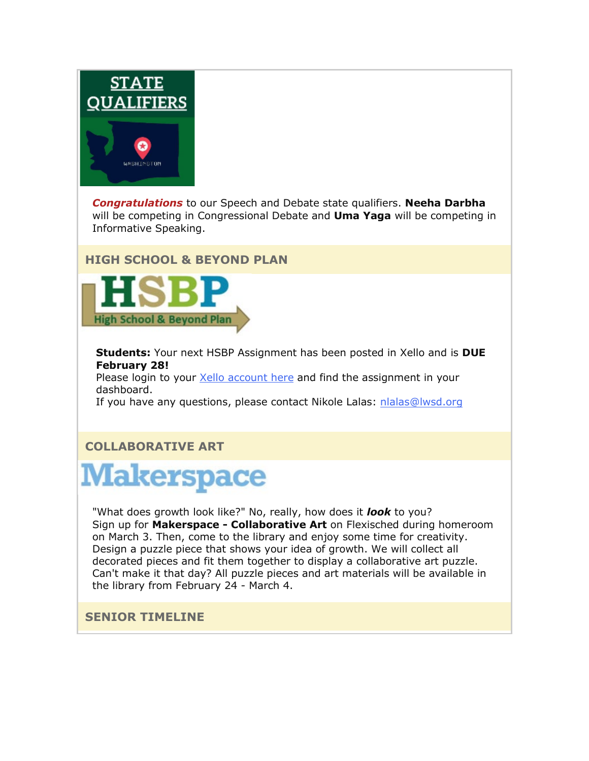

*Congratulations* to our Speech and Debate state qualifiers. **Neeha Darbha** will be competing in Congressional Debate and **Uma Yaga** will be competing in Informative Speaking.

## **HIGH SCHOOL & BEYOND PLAN**



**Students:** Your next HSBP Assignment has been posted in Xello and is **DUE February 28!**

Please login to your [Xello account here](https://nam02.safelinks.protection.outlook.com/?url=http%3A%2F%2Flink.email.dynect.net%2Flink.php%3FDynEngagement%3Dtrue%26H%3De%252BlHqQR4V3v4VMvJ3m0NDL9Oyn7EjMegyw%252Bn2w4NNScdI7r2YcSRy2YdWdBdlvVoZRf4TXbw4L7LOlkoByYYHYkaVzl64XmH55G6VMz76DuJzEYB9brhAw%253D%253D%26G%3D0%26R%3Dhttps%253A%252F%252FSMPJGYZTANA.hatchbuck.com%252FTrackLinkClick%253FID2%253DsnDHlD2ew2QNB-a0tcHBe-W83OU2atNIT_VFKxVhcDD5-Zy429eIaMIq3MNdCsol0%26I%3D20220225232215.000000ace0ae%2540smtp-ad2-50-phx%26X%3DMHwxMjY0OTIyOjI1MDE5MjY2NTU7MXwxMjY0OTIzOjE5NzE4OTE5Mjs%253D%26V%3D3%26S%3Dy6kb1UVuNeTs6lraBGrM_mOcmkGpMlAPnJARplGlaJk&data=04%7C01%7Cmwood%40lwsd.org%7C42e18cd879474e61e2c408d9f8b5a9be%7C1fd4673fdf9646218638a1d88c4c85d7%7C0%7C0%7C637814281399590135%7CUnknown%7CTWFpbGZsb3d8eyJWIjoiMC4wLjAwMDAiLCJQIjoiV2luMzIiLCJBTiI6Ik1haWwiLCJXVCI6Mn0%3D%7C3000&sdata=zuH%2FXRyhMC9%2FRereWUWCOzjXDrbpvMH12XOlMBdtfwM%3D&reserved=0) and find the assignment in your dashboard.

If you have any questions, please contact Nikole Lalas: [nlalas@lwsd.org](mailto:nlalas@lwsd.org)

## **COLLABORATIVE ART**



"What does growth look like?" No, really, how does it *look* to you? Sign up for **Makerspace - Collaborative Art** on Flexisched during homeroom on March 3. Then, come to the library and enjoy some time for creativity. Design a puzzle piece that shows your idea of growth. We will collect all decorated pieces and fit them together to display a collaborative art puzzle. Can't make it that day? All puzzle pieces and art materials will be available in the library from February 24 - March 4.

## **SENIOR TIMELINE**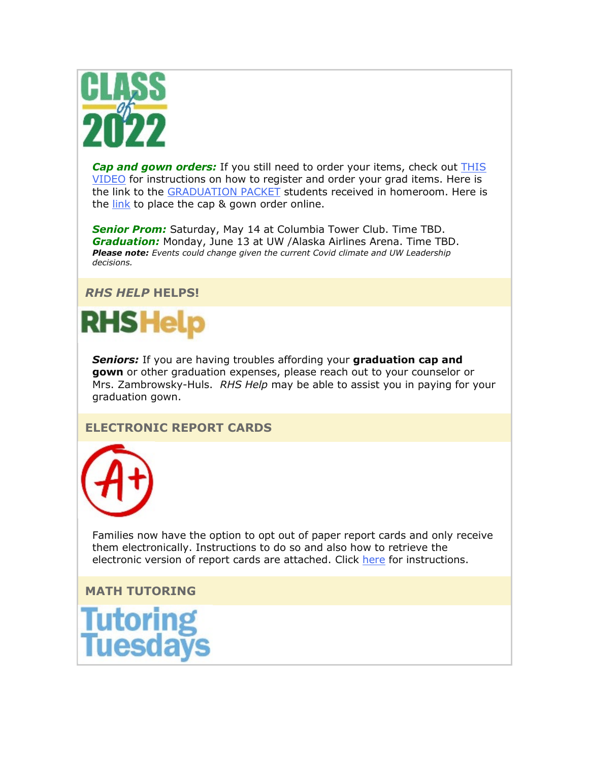

*Cap and gown orders:* If you still need to order your items, check out [THIS](https://nam02.safelinks.protection.outlook.com/?url=http%3A%2F%2Flink.email.dynect.net%2Flink.php%3FDynEngagement%3Dtrue%26H%3De%252BlHqQR4V3v4VMvJ3m0NDL9Oyn7EjMegyw%252Bn2w4NNScdI7r2YcSRy2YdWdBdlvVoZRf4TXbw4L7LOlkoByYYHYkaVzl64XmH55G6VMz76DuJzEYB9brhAw%253D%253D%26G%3D0%26R%3Dhttps%253A%252F%252FSMPJGYZTANA.hatchbuck.com%252FTrackLinkClick%253FID2%253DlIKtegYBVB4T5zGavQf2bnKX2-TBDuMH_AQbz69S_luBwNmuHEO4CYPVaSXloYuL0%26I%3D20220225232215.000000ace0ae%2540smtp-ad2-50-phx%26X%3DMHwxMjY0OTIyOjI1MDE5MjY2NTU7MXwxMjY0OTIzOjE5NzE4OTE5Mjs%253D%26V%3D3%26S%3DPA2XKU9qVp2Gww6TDYDogrQoeS5lhaxoDV9KuIEF208&data=04%7C01%7Cmwood%40lwsd.org%7C42e18cd879474e61e2c408d9f8b5a9be%7C1fd4673fdf9646218638a1d88c4c85d7%7C0%7C0%7C637814281399590135%7CUnknown%7CTWFpbGZsb3d8eyJWIjoiMC4wLjAwMDAiLCJQIjoiV2luMzIiLCJBTiI6Ik1haWwiLCJXVCI6Mn0%3D%7C3000&sdata=UsPrpT%2BBpjNJ1eFVj3g9n9bfO%2BgkbO7EooDhhGi7CVc%3D&reserved=0)  [VIDEO](https://nam02.safelinks.protection.outlook.com/?url=http%3A%2F%2Flink.email.dynect.net%2Flink.php%3FDynEngagement%3Dtrue%26H%3De%252BlHqQR4V3v4VMvJ3m0NDL9Oyn7EjMegyw%252Bn2w4NNScdI7r2YcSRy2YdWdBdlvVoZRf4TXbw4L7LOlkoByYYHYkaVzl64XmH55G6VMz76DuJzEYB9brhAw%253D%253D%26G%3D0%26R%3Dhttps%253A%252F%252FSMPJGYZTANA.hatchbuck.com%252FTrackLinkClick%253FID2%253DlIKtegYBVB4T5zGavQf2bnKX2-TBDuMH_AQbz69S_luBwNmuHEO4CYPVaSXloYuL0%26I%3D20220225232215.000000ace0ae%2540smtp-ad2-50-phx%26X%3DMHwxMjY0OTIyOjI1MDE5MjY2NTU7MXwxMjY0OTIzOjE5NzE4OTE5Mjs%253D%26V%3D3%26S%3DPA2XKU9qVp2Gww6TDYDogrQoeS5lhaxoDV9KuIEF208&data=04%7C01%7Cmwood%40lwsd.org%7C42e18cd879474e61e2c408d9f8b5a9be%7C1fd4673fdf9646218638a1d88c4c85d7%7C0%7C0%7C637814281399590135%7CUnknown%7CTWFpbGZsb3d8eyJWIjoiMC4wLjAwMDAiLCJQIjoiV2luMzIiLCJBTiI6Ik1haWwiLCJXVCI6Mn0%3D%7C3000&sdata=UsPrpT%2BBpjNJ1eFVj3g9n9bfO%2BgkbO7EooDhhGi7CVc%3D&reserved=0) for instructions on how to register and order your grad items. Here is the link to the [GRADUATION PACKET](https://nam02.safelinks.protection.outlook.com/?url=http%3A%2F%2Flink.email.dynect.net%2Flink.php%3FDynEngagement%3Dtrue%26H%3De%252BlHqQR4V3v4VMvJ3m0NDL9Oyn7EjMegyw%252Bn2w4NNScdI7r2YcSRy2YdWdBdlvVoZRf4TXbw4L7LOlkoByYYHYkaVzl64XmH55G6VMz76DuJzEYB9brhAw%253D%253D%26G%3D0%26R%3Dhttps%253A%252F%252FSMPJGYZTANA.hatchbuck.com%252FTrackLinkClick%253FID2%253DQQULG35izv1T0NmfZdm30-p4XPdpO-lSG42R5jwtLHCf_b9XkP7YgFTP-tTFyFdN0%26I%3D20220225232215.000000ace0ae%2540smtp-ad2-50-phx%26X%3DMHwxMjY0OTIyOjI1MDE5MjY2NTU7MXwxMjY0OTIzOjE5NzE4OTE5Mjs%253D%26V%3D3%26S%3DGGcaR4j29aUXLhKrUPcVTyEqmxDtI1rTsbkrsi0lhNQ&data=04%7C01%7Cmwood%40lwsd.org%7C42e18cd879474e61e2c408d9f8b5a9be%7C1fd4673fdf9646218638a1d88c4c85d7%7C0%7C0%7C637814281399590135%7CUnknown%7CTWFpbGZsb3d8eyJWIjoiMC4wLjAwMDAiLCJQIjoiV2luMzIiLCJBTiI6Ik1haWwiLCJXVCI6Mn0%3D%7C3000&sdata=6yof%2FiQdpQllyanR%2FyZex%2FMInZr%2BCA4DwE8uSQCxdBI%3D&reserved=0) students received in homeroom. Here is the [link](https://nam02.safelinks.protection.outlook.com/?url=http%3A%2F%2Flink.email.dynect.net%2Flink.php%3FDynEngagement%3Dtrue%26H%3De%252BlHqQR4V3v4VMvJ3m0NDL9Oyn7EjMegyw%252Bn2w4NNScdI7r2YcSRy2YdWdBdlvVoZRf4TXbw4L7LOlkoByYYHYkaVzl64XmH55G6VMz76DuJzEYB9brhAw%253D%253D%26G%3D0%26R%3Dhttps%253A%252F%252FSMPJGYZTANA.hatchbuck.com%252FTrackLinkClick%253FID2%253DGQSauzsA2pb3cy1meaEV5URGrswSkt4NSMgp_saDZYfR1r2a5G3PjsSNgS_3fxEw0%26I%3D20220225232215.000000ace0ae%2540smtp-ad2-50-phx%26X%3DMHwxMjY0OTIyOjI1MDE5MjY2NTU7MXwxMjY0OTIzOjE5NzE4OTE5Mjs%253D%26V%3D3%26S%3D7BMnixwBvnDgTFq2q4FgYZRXWajhALdJaE0XqU6xHbc&data=04%7C01%7Cmwood%40lwsd.org%7C42e18cd879474e61e2c408d9f8b5a9be%7C1fd4673fdf9646218638a1d88c4c85d7%7C0%7C0%7C637814281399590135%7CUnknown%7CTWFpbGZsb3d8eyJWIjoiMC4wLjAwMDAiLCJQIjoiV2luMzIiLCJBTiI6Ik1haWwiLCJXVCI6Mn0%3D%7C3000&sdata=tWrRgObbIA2%2FpG8BnrB4RgC%2B00HL9F1EbNAQo2gyYM0%3D&reserved=0) to place the cap & gown order online.

*Senior Prom:* Saturday, May 14 at Columbia Tower Club. Time TBD. *Graduation:* Monday, June 13 at UW /Alaska Airlines Arena. Time TBD. *Please note: Events could change given the current Covid climate and UW Leadership decisions.* 

## *RHS HELP* **HELPS!**



*Seniors:* If you are having troubles affording your **graduation cap and gown** or other graduation expenses, please reach out to your counselor or Mrs. Zambrowsky-Huls. *RHS Help* may be able to assist you in paying for your graduation gown.

## **ELECTRONIC REPORT CARDS**



Families now have the option to opt out of paper report cards and only receive them electronically. Instructions to do so and also how to retrieve the electronic version of report cards are attached. Click [here](https://nam02.safelinks.protection.outlook.com/?url=http%3A%2F%2Flink.email.dynect.net%2Flink.php%3FDynEngagement%3Dtrue%26H%3De%252BlHqQR4V3v4VMvJ3m0NDL9Oyn7EjMegyw%252Bn2w4NNScdI7r2YcSRy2YdWdBdlvVoZRf4TXbw4L7LOlkoByYYHYkaVzl64XmH55G6VMz76DuJzEYB9brhAw%253D%253D%26G%3D0%26R%3Dhttps%253A%252F%252FSMPJGYZTANA.hatchbuck.com%252FTrackLinkClick%253FID2%253DPU7yUCo-Hvz-2UHmmSffHJlqCE7XYpoVBqMwwqj1IGxB5jXI07Dumt0t2CXAI7iM0%26I%3D20220225232215.000000ace0ae%2540smtp-ad2-50-phx%26X%3DMHwxMjY0OTIyOjI1MDE5MjY2NTU7MXwxMjY0OTIzOjE5NzE4OTE5Mjs%253D%26V%3D3%26S%3DWH-PAhyqtKQOUwjsdMaI0K-ONF5bOX9rK5OK8FnIr-E&data=04%7C01%7Cmwood%40lwsd.org%7C42e18cd879474e61e2c408d9f8b5a9be%7C1fd4673fdf9646218638a1d88c4c85d7%7C0%7C0%7C637814281399590135%7CUnknown%7CTWFpbGZsb3d8eyJWIjoiMC4wLjAwMDAiLCJQIjoiV2luMzIiLCJBTiI6Ik1haWwiLCJXVCI6Mn0%3D%7C3000&sdata=BkwC1lRlSbVbiv7AeR5siwFX74RjoGQKv2OoYsBkOAM%3D&reserved=0) for instructions.

**MATH TUTORING**

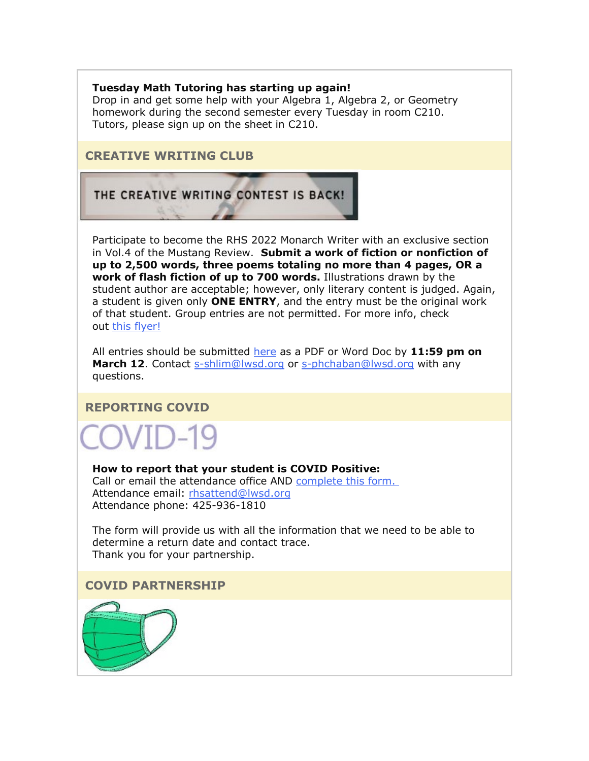#### **Tuesday Math Tutoring has starting up again!**

Drop in and get some help with your Algebra 1, Algebra 2, or Geometry homework during the second semester every Tuesday in room C210. Tutors, please sign up on the sheet in C210.

### **CREATIVE WRITING CLUB**

THE CREATIVE WRITING CONTEST IS BACK!

Participate to become the RHS 2022 Monarch Writer with an exclusive section in Vol.4 of the Mustang Review. **Submit a work of fiction or nonfiction of up to 2,500 words, three poems totaling no more than 4 pages, OR a work of flash fiction of up to 700 words.** Illustrations drawn by the student author are acceptable; however, only literary content is judged. Again, a student is given only **ONE ENTRY**, and the entry must be the original work of that student. Group entries are not permitted. For more info, check out this [flyer!](https://nam02.safelinks.protection.outlook.com/?url=http%3A%2F%2Flink.email.dynect.net%2Flink.php%3FDynEngagement%3Dtrue%26H%3De%252BlHqQR4V3v4VMvJ3m0NDL9Oyn7EjMegyw%252Bn2w4NNScdI7r2YcSRy2YdWdBdlvVoZRf4TXbw4L7LOlkoByYYHYkaVzl64XmH55G6VMz76DuJzEYB9brhAw%253D%253D%26G%3D0%26R%3Dhttps%253A%252F%252FSMPJGYZTANA.hatchbuck.com%252FTrackLinkClick%253FID2%253DA2MnF_ryuSvqpEHYhgIhGOv2WjSt1_E-oqLWfafm0xccL7-5AA4AUtb3C4WeXGbp0%26I%3D20220225232215.000000ace0ae%2540smtp-ad2-50-phx%26X%3DMHwxMjY0OTIyOjI1MDE5MjY2NTU7MXwxMjY0OTIzOjE5NzE4OTE5Mjs%253D%26V%3D3%26S%3D5ZKGpK5J2vMTWDN-fvKuEyj8nOxOsJ8D2NsYhrEh-K8&data=04%7C01%7Cmwood%40lwsd.org%7C42e18cd879474e61e2c408d9f8b5a9be%7C1fd4673fdf9646218638a1d88c4c85d7%7C0%7C0%7C637814281399590135%7CUnknown%7CTWFpbGZsb3d8eyJWIjoiMC4wLjAwMDAiLCJQIjoiV2luMzIiLCJBTiI6Ik1haWwiLCJXVCI6Mn0%3D%7C3000&sdata=nRbjpf1P%2BnHcpQzqo3yD7BLAHMwkLFwPl7iYggIJKH4%3D&reserved=0)

All entries should be submitted [here](https://nam02.safelinks.protection.outlook.com/?url=http%3A%2F%2Flink.email.dynect.net%2Flink.php%3FDynEngagement%3Dtrue%26H%3De%252BlHqQR4V3v4VMvJ3m0NDL9Oyn7EjMegyw%252Bn2w4NNScdI7r2YcSRy2YdWdBdlvVoZRf4TXbw4L7LOlkoByYYHYkaVzl64XmH55G6VMz76DuJzEYB9brhAw%253D%253D%26G%3D0%26R%3Dhttps%253A%252F%252FSMPJGYZTANA.hatchbuck.com%252FTrackLinkClick%253FID2%253DVVo5FdS3lNNzIiJv4AhOQWvvZduoWjHIrEAXlfIT8ef7IRm8zBYD5Alf-KHpFJ6n0%26I%3D20220225232215.000000ace0ae%2540smtp-ad2-50-phx%26X%3DMHwxMjY0OTIyOjI1MDE5MjY2NTU7MXwxMjY0OTIzOjE5NzE4OTE5Mjs%253D%26V%3D3%26S%3DAxGrrlzKccyClHd-9Gk0Zl1PnP7MJN8zQovXlVo86aQ&data=04%7C01%7Cmwood%40lwsd.org%7C42e18cd879474e61e2c408d9f8b5a9be%7C1fd4673fdf9646218638a1d88c4c85d7%7C0%7C0%7C637814281399590135%7CUnknown%7CTWFpbGZsb3d8eyJWIjoiMC4wLjAwMDAiLCJQIjoiV2luMzIiLCJBTiI6Ik1haWwiLCJXVCI6Mn0%3D%7C3000&sdata=W012xxogie765Iz3X%2F6gYt21X19U1LVmYe5ZZ6GlYcI%3D&reserved=0) as a PDF or Word Doc by **11:59 pm on**  March 12. Contact [s-shlim@lwsd.org](mailto:s-shlim@lwsd.org) or [s-phchaban@lwsd.org](mailto:s-phchaban@lwsd.org) with any questions.

## **REPORTING COVID**

VID-19

**How to report that your student is COVID Positive:** Call or email the attendance office AND [complete this form](https://nam02.safelinks.protection.outlook.com/?url=http%3A%2F%2Flink.email.dynect.net%2Flink.php%3FDynEngagement%3Dtrue%26H%3De%252BlHqQR4V3v4VMvJ3m0NDL9Oyn7EjMegyw%252Bn2w4NNScdI7r2YcSRy2YdWdBdlvVoZRf4TXbw4L7LOlkoByYYHYkaVzl64XmH55G6VMz76DuJzEYB9brhAw%253D%253D%26G%3D0%26R%3Dhttps%253A%252F%252FSMPJGYZTANA.hatchbuck.com%252FTrackLinkClick%253FID2%253D-kogyUWL383UerNoy7lq-BTkHbiz86NXJyUPq4BYE1bMYIrLU281wE98xhy1CQ6w0%26I%3D20220225232215.000000ace0ae%2540smtp-ad2-50-phx%26X%3DMHwxMjY0OTIyOjI1MDE5MjY2NTU7MXwxMjY0OTIzOjE5NzE4OTE5Mjs%253D%26V%3D3%26S%3DwSSj0ZAzyPheKi8EtmY16TC6l0EXa8QcpEQEuvqiyYw&data=04%7C01%7Cmwood%40lwsd.org%7C42e18cd879474e61e2c408d9f8b5a9be%7C1fd4673fdf9646218638a1d88c4c85d7%7C0%7C0%7C637814281399590135%7CUnknown%7CTWFpbGZsb3d8eyJWIjoiMC4wLjAwMDAiLCJQIjoiV2luMzIiLCJBTiI6Ik1haWwiLCJXVCI6Mn0%3D%7C3000&sdata=7cf97%2BLgHhOisxS8dxUOLiQpPW6WNXvKSSB4%2BNvTkxA%3D&reserved=0)[.](https://nam02.safelinks.protection.outlook.com/?url=http%3A%2F%2Flink.email.dynect.net%2Flink.php%3FDynEngagement%3Dtrue%26H%3De%252BlHqQR4V3v4VMvJ3m0NDL9Oyn7EjMegyw%252Bn2w4NNScdI7r2YcSRy2YdWdBdlvVoZRf4TXbw4L7LOlkoByYYHYkaVzl64XmH55G6VMz76DuJzEYB9brhAw%253D%253D%26G%3D0%26R%3Dhttps%253A%252F%252FSMPJGYZTANA.hatchbuck.com%252FTrackLinkClick%253FID2%253DYyBc4Pn4G2s5Z7275WbB7b4nY6HNa1q7qtcmUj0W3Vi4_tuiRils9KbuogY18Iw70%26I%3D20220225232215.000000ace0ae%2540smtp-ad2-50-phx%26X%3DMHwxMjY0OTIyOjI1MDE5MjY2NTU7MXwxMjY0OTIzOjE5NzE4OTE5Mjs%253D%26V%3D3%26S%3DA3Di6XW_aHf_xaKqhWi_G_DgDa-aoSfYHoNBu6pkdVw&data=04%7C01%7Cmwood%40lwsd.org%7C42e18cd879474e61e2c408d9f8b5a9be%7C1fd4673fdf9646218638a1d88c4c85d7%7C0%7C0%7C637814281399590135%7CUnknown%7CTWFpbGZsb3d8eyJWIjoiMC4wLjAwMDAiLCJQIjoiV2luMzIiLCJBTiI6Ik1haWwiLCJXVCI6Mn0%3D%7C3000&sdata=hmnMh6f%2F9Ab9k%2F969itp97fyvs4feb5zVdop8iCcd%2Bg%3D&reserved=0) Attendance email: [rhsattend@lwsd.org](mailto:rhsattend@lwsd.org) Attendance phone: 425-936-1810

The form will provide us with all the information that we need to be able to determine a return date and contact trace. Thank you for your partnership.

## **COVID PARTNERSHIP**

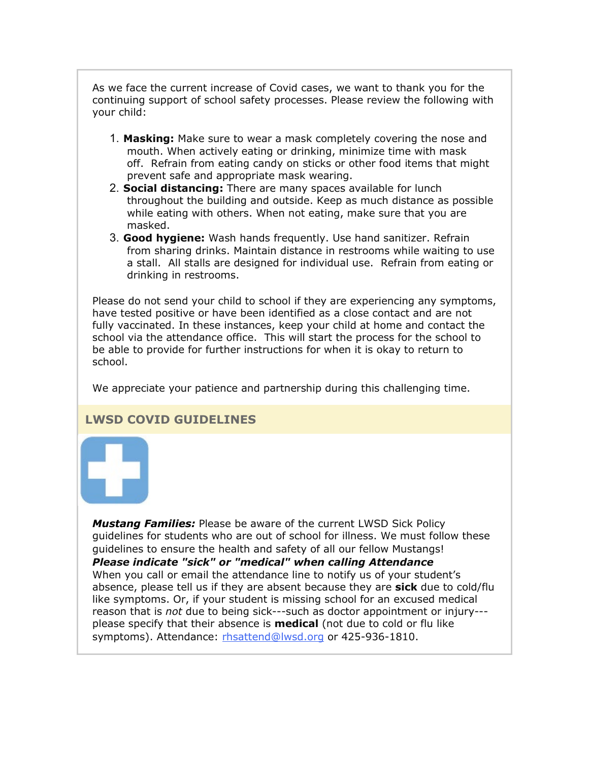As we face the current increase of Covid cases, we want to thank you for the continuing support of school safety processes. Please review the following with your child:

- 1. **Masking:** Make sure to wear a mask completely covering the nose and mouth. When actively eating or drinking, minimize time with mask off. Refrain from eating candy on sticks or other food items that might prevent safe and appropriate mask wearing.
- 2. **Social distancing:** There are many spaces available for lunch throughout the building and outside. Keep as much distance as possible while eating with others. When not eating, make sure that you are masked.
- 3. **Good hygiene:** Wash hands frequently. Use hand sanitizer. Refrain from sharing drinks. Maintain distance in restrooms while waiting to use a stall. All stalls are designed for individual use. Refrain from eating or drinking in restrooms.

Please do not send your child to school if they are experiencing any symptoms, have tested positive or have been identified as a close contact and are not fully vaccinated. In these instances, keep your child at home and contact the school via the attendance office. This will start the process for the school to be able to provide for further instructions for when it is okay to return to school.

We appreciate your patience and partnership during this challenging time.

## **LWSD COVID GUIDELINES**



*Mustang Families:* Please be aware of the current LWSD Sick Policy guidelines for students who are out of school for illness. We must follow these guidelines to ensure the health and safety of all our fellow Mustangs! *Please indicate "sick" or "medical" when calling Attendance* When you call or email the attendance line to notify us of your student's absence, please tell us if they are absent because they are **sick** due to cold/flu like symptoms. Or, if your student is missing school for an excused medical reason that is *not* due to being sick---such as doctor appointment or injury-- please specify that their absence is **medical** (not due to cold or flu like symptoms). Attendance: [rhsattend@lwsd.org](mailto:rhsattend@lwsd.org) or 425-936-1810.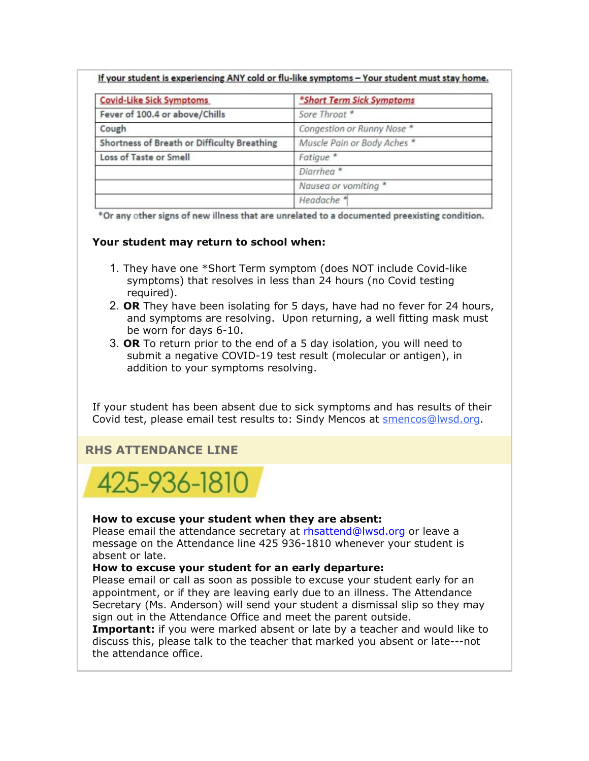|  | If your student is experiencing ANY cold or flu-like symptoms - Your student must stay home. |  |
|--|----------------------------------------------------------------------------------------------|--|
|--|----------------------------------------------------------------------------------------------|--|

| <b>Covid-Like Sick Symptoms</b>             | *Short Term Sick Symptoms   |  |
|---------------------------------------------|-----------------------------|--|
| Fever of 100.4 or above/Chills              | Sore Throat *               |  |
| Cough                                       | Congestion or Runny Nose *  |  |
| Shortness of Breath or Difficulty Breathing | Muscle Pain or Body Aches * |  |
| Loss of Taste or Smell                      | Fatigue <sup>*</sup>        |  |
|                                             | Diarrhea <sup>*</sup>       |  |
|                                             | Nausea or vomiting *        |  |
|                                             | Headache <sup>*</sup>       |  |

\*Or any other signs of new illness that are unrelated to a documented preexisting condition.

#### **Your student may return to school when:**

- 1. They have one \*Short Term symptom (does NOT include Covid-like symptoms) that resolves in less than 24 hours (no Covid testing required).
- 2. **OR** They have been isolating for 5 days, have had no fever for 24 hours, and symptoms are resolving. Upon returning, a well fitting mask must be worn for days 6-10.
- 3. **OR** To return prior to the end of a 5 day isolation, you will need to submit a negative COVID-19 test result (molecular or antigen), in addition to your symptoms resolving.

If your student has been absent due to sick symptoms and has results of their Covid test, please email test results to: Sindy Mencos at [smencos@lwsd.org.](mailto:smencos@lwsd.org)

## **RHS ATTENDANCE LINE**



#### **How to excuse your student when they are absent:**

Please email the attendance secretary at [rhsattend@lwsd.org](mailto:rhsattend@lwsd.org) or leave a message on the Attendance line 425 936-1810 whenever your student is absent or late.

#### **How to excuse your student for an early departure:**

Please email or call as soon as possible to excuse your student early for an appointment, or if they are leaving early due to an illness. The Attendance Secretary (Ms. Anderson) will send your student a dismissal slip so they may sign out in the Attendance Office and meet the parent outside.

**Important:** if you were marked absent or late by a teacher and would like to discuss this, please talk to the teacher that marked you absent or late---not the attendance office.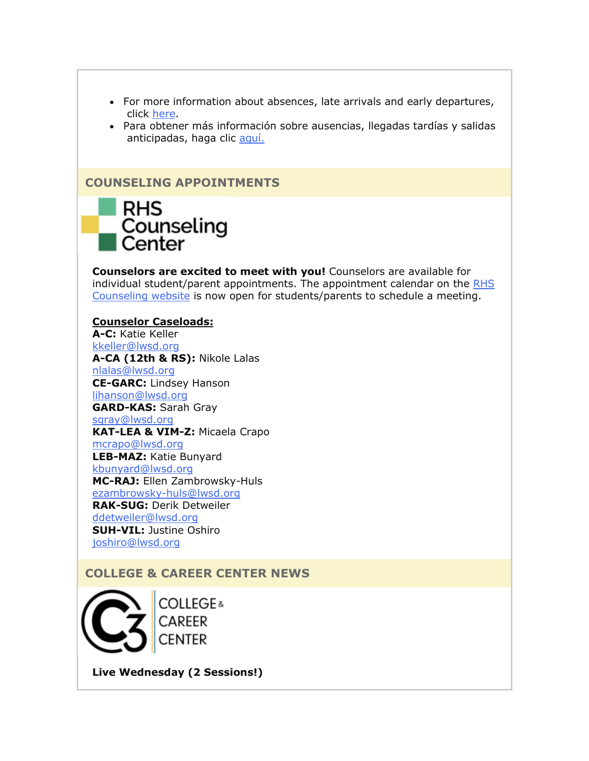- For more information about absences, late arrivals and early departures, click [here.](https://nam02.safelinks.protection.outlook.com/?url=http%3A%2F%2Flink.email.dynect.net%2Flink.php%3FDynEngagement%3Dtrue%26H%3De%252BlHqQR4V3v4VMvJ3m0NDL9Oyn7EjMegyw%252Bn2w4NNScdI7r2YcSRy2YdWdBdlvVoZRf4TXbw4L7LOlkoByYYHYkaVzl64XmH55G6VMz76DuJzEYB9brhAw%253D%253D%26G%3D0%26R%3Dhttps%253A%252F%252FSMPJGYZTANA.hatchbuck.com%252FTrackLinkClick%253FID2%253Du_ppIF8J5YLQc2N5YXVegvVNvxD37Bv-OSmt0Vgi_b-Fxb0FB7raXtDgYfBw1kWk0%26I%3D20220225232215.000000ace0ae%2540smtp-ad2-50-phx%26X%3DMHwxMjY0OTIyOjI1MDE5MjY2NTU7MXwxMjY0OTIzOjE5NzE4OTE5Mjs%253D%26V%3D3%26S%3Dj94vd6gw3M2ATy-uvdPNg7Ja1g2eOotq1fb211qEBqI&data=04%7C01%7Cmwood%40lwsd.org%7C42e18cd879474e61e2c408d9f8b5a9be%7C1fd4673fdf9646218638a1d88c4c85d7%7C0%7C0%7C637814281399590135%7CUnknown%7CTWFpbGZsb3d8eyJWIjoiMC4wLjAwMDAiLCJQIjoiV2luMzIiLCJBTiI6Ik1haWwiLCJXVCI6Mn0%3D%7C3000&sdata=sSQX5Td1X%2B00CzGT0rdJ%2BwXDM6V6%2BxpO5FkjkVDz9og%3D&reserved=0)
- Para obtener más información sobre ausencias, llegadas tardías y salidas anticipadas, haga clic [aquí.](https://nam02.safelinks.protection.outlook.com/?url=http%3A%2F%2Flink.email.dynect.net%2Flink.php%3FDynEngagement%3Dtrue%26H%3De%252BlHqQR4V3v4VMvJ3m0NDL9Oyn7EjMegyw%252Bn2w4NNScdI7r2YcSRy2YdWdBdlvVoZRf4TXbw4L7LOlkoByYYHYkaVzl64XmH55G6VMz76DuJzEYB9brhAw%253D%253D%26G%3D0%26R%3Dhttps%253A%252F%252FSMPJGYZTANA.hatchbuck.com%252FTrackLinkClick%253FID2%253Dv9IFu19oEUgtipQQnzN5E_LxDQ3_PQM6lw1djuj8alXHkpQdAhT3viCh-QRyEBi_0%26I%3D20220225232215.000000ace0ae%2540smtp-ad2-50-phx%26X%3DMHwxMjY0OTIyOjI1MDE5MjY2NTU7MXwxMjY0OTIzOjE5NzE4OTE5Mjs%253D%26V%3D3%26S%3D9bM8MoSnj8YfOKMD5AKdMm0boJsI3rOO-9a7C-YyN18&data=04%7C01%7Cmwood%40lwsd.org%7C42e18cd879474e61e2c408d9f8b5a9be%7C1fd4673fdf9646218638a1d88c4c85d7%7C0%7C0%7C637814281399746549%7CUnknown%7CTWFpbGZsb3d8eyJWIjoiMC4wLjAwMDAiLCJQIjoiV2luMzIiLCJBTiI6Ik1haWwiLCJXVCI6Mn0%3D%7C3000&sdata=ykg32%2FkjYs%2F1A0txiu0kjuS23HMQT5JZrtkgXQt9iW0%3D&reserved=0)

#### **COUNSELING APPOINTMENTS**



**Counselors are excited to meet with you!** Counselors are available for individual student/parent appointments. The appointment calendar on the RHS [Counseling website](https://nam02.safelinks.protection.outlook.com/?url=http%3A%2F%2Flink.email.dynect.net%2Flink.php%3FDynEngagement%3Dtrue%26H%3De%252BlHqQR4V3v4VMvJ3m0NDL9Oyn7EjMegyw%252Bn2w4NNScdI7r2YcSRy2YdWdBdlvVoZRf4TXbw4L7LOlkoByYYHYkaVzl64XmH55G6VMz76DuJzEYB9brhAw%253D%253D%26G%3D0%26R%3Dhttps%253A%252F%252FSMPJGYZTANA.hatchbuck.com%252FTrackLinkClick%253FID2%253DV_g0i1eXvTqrs9xaFURD-C-mkEnkiBClHLxX6w4rNl-OiXzJyfYkxQBjXr6Rmqgg0%26I%3D20220225232215.000000ace0ae%2540smtp-ad2-50-phx%26X%3DMHwxMjY0OTIyOjI1MDE5MjY2NTU7MXwxMjY0OTIzOjE5NzE4OTE5Mjs%253D%26V%3D3%26S%3DlzURw7Jc7vMCbBWeHxeXgEZ_32PIOztr1MEu6nHA0lo&data=04%7C01%7Cmwood%40lwsd.org%7C42e18cd879474e61e2c408d9f8b5a9be%7C1fd4673fdf9646218638a1d88c4c85d7%7C0%7C0%7C637814281399746549%7CUnknown%7CTWFpbGZsb3d8eyJWIjoiMC4wLjAwMDAiLCJQIjoiV2luMzIiLCJBTiI6Ik1haWwiLCJXVCI6Mn0%3D%7C3000&sdata=OIBKuhJeUpu2QmfgAX%2F7weGO%2BOJWYCjsK2Zjbum%2B9oY%3D&reserved=0) is now open for students/parents to schedule a meeting.

#### **Counselor Caseloads:**

**A-C:** Katie Keller [kkeller@lwsd.org](mailto:kkeller@lwsd.org) **A-CA (12th & RS):** Nikole Lalas [nlalas@lwsd.org](mailto:nlalas@lwsd.org) **CE-GARC:** Lindsey Hanson [lihanson@lwsd.org](mailto:lihanson@lwsd.org) **GARD-KAS:** Sarah Gray [sgray@lwsd.org](mailto:sgray@lwsd.org) **KAT-LEA & VIM-Z:** Micaela Crapo [mcrapo@lwsd.org](mailto:mcrapo@lwsd.org) **LEB-MAZ:** Katie Bunyard [kbunyard@lwsd.org](mailto:Kbunyard@lwsd.org) **MC-RAJ:** Ellen Zambrowsky-Huls [ezambrowsky-huls@lwsd.org](mailto:Ezambrowsky-huls@lwsd.org) **RAK-SUG:** Derik Detweiler [ddetweiler@lwsd.org](mailto:ddetweiler@lwsd.org) **SUH-VIL:** Justine Oshiro [joshiro@lwsd.org](mailto:joshiro@lwsd.org)

## **COLLEGE & CAREER CENTER NEWS**

COLLEGE & **CAREER CENTER** 

**Live Wednesday (2 Sessions!)**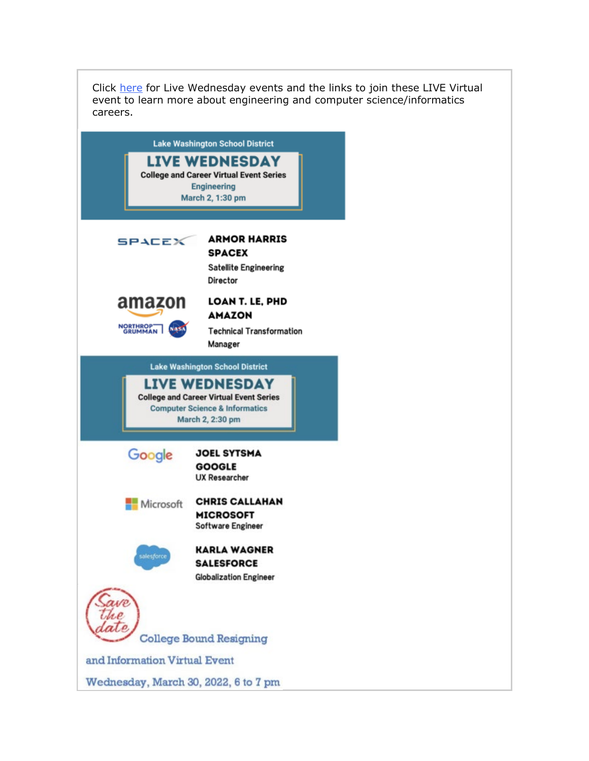Click [here](https://nam02.safelinks.protection.outlook.com/?url=http%3A%2F%2Flink.email.dynect.net%2Flink.php%3FDynEngagement%3Dtrue%26H%3De%252BlHqQR4V3v4VMvJ3m0NDL9Oyn7EjMegyw%252Bn2w4NNScdI7r2YcSRy2YdWdBdlvVoZRf4TXbw4L7LOlkoByYYHYkaVzl64XmH55G6VMz76DuJzEYB9brhAw%253D%253D%26G%3D0%26R%3Dhttps%253A%252F%252FSMPJGYZTANA.hatchbuck.com%252FTrackLinkClick%253FID2%253DdFcxf0luwvm0jEH4x6Xg8TdF1JhFFnKa0Qasc2za3h_W33ZIQBSAveh7v3n188rF0%26I%3D20220225232215.000000ace0ae%2540smtp-ad2-50-phx%26X%3DMHwxMjY0OTIyOjI1MDE5MjY2NTU7MXwxMjY0OTIzOjE5NzE4OTE5Mjs%253D%26V%3D3%26S%3DjOXPVRiivxm_910ODNhhUPIGhhCamhZCUMoIXfbO4ws&data=04%7C01%7Cmwood%40lwsd.org%7C42e18cd879474e61e2c408d9f8b5a9be%7C1fd4673fdf9646218638a1d88c4c85d7%7C0%7C0%7C637814281399746549%7CUnknown%7CTWFpbGZsb3d8eyJWIjoiMC4wLjAwMDAiLCJQIjoiV2luMzIiLCJBTiI6Ik1haWwiLCJXVCI6Mn0%3D%7C3000&sdata=ZAQn4dW3TF6eL%2BcM5KMMWTUBlqa4ggF43cVOL%2BeXZKE%3D&reserved=0) for Live Wednesday events and the links to join these LIVE Virtual event to learn more about engineering and computer science/informatics careers.

| <b>Lake Washington School District</b>                                                                                                   |                                                                                  |  |
|------------------------------------------------------------------------------------------------------------------------------------------|----------------------------------------------------------------------------------|--|
| <b>LIVE WEDNESDAY</b><br><b>College and Career Virtual Event Series</b><br><b>Engineering</b><br>March 2, 1:30 pm                        |                                                                                  |  |
| SPACEX                                                                                                                                   | <b>ARMOR HARRIS</b><br><b>SPACEX</b><br><b>Satellite Engineering</b><br>Director |  |
| amazon<br>NORTHROP-<br>GRUMMAN                                                                                                           | LOAN T. LE, PHD<br><b>AMAZON</b><br><b>Technical Transformation</b><br>Manager   |  |
|                                                                                                                                          | <b>Lake Washington School District</b>                                           |  |
| <b>LIVE WEDNESDAY</b><br><b>College and Career Virtual Event Series</b><br><b>Computer Science &amp; Informatics</b><br>March 2, 2:30 pm |                                                                                  |  |
| Google                                                                                                                                   | <b>JOEL SYTSMA</b><br><b>GOOGLE</b><br><b>UX Researcher</b>                      |  |
| Microsoft                                                                                                                                | <b>CHRIS CALLAHAN</b><br><b>MICROSOFT</b><br><b>Software Engineer</b>            |  |
| salesforce                                                                                                                               | <b>KARLA WAGNER</b><br><b>SALESFORCE</b><br><b>Globalization Engineer</b>        |  |
|                                                                                                                                          | <b>College Bound Resigning</b>                                                   |  |
| and Information Virtual Event                                                                                                            |                                                                                  |  |
| Wednesday, March 30, 2022, 6 to 7 pm                                                                                                     |                                                                                  |  |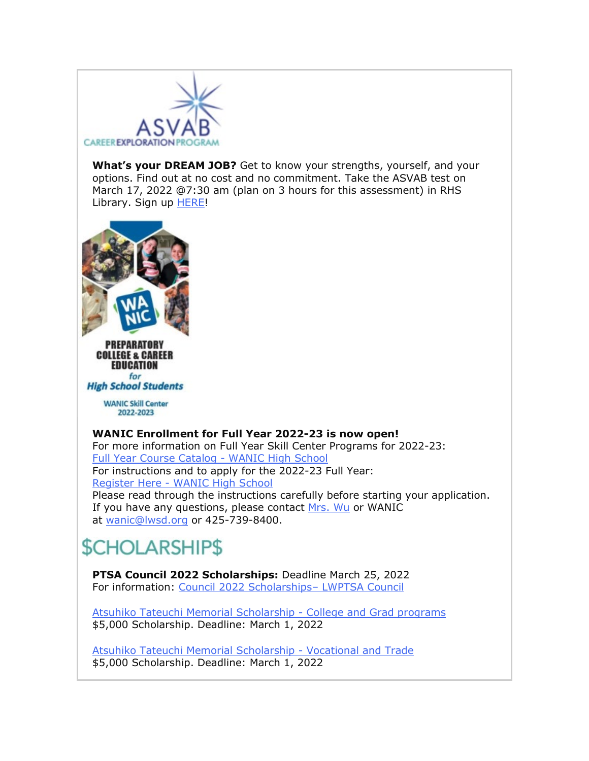

**What's your DREAM JOB?** Get to know your strengths, yourself, and your options. Find out at no cost and no commitment. Take the ASVAB test on March 17, 2022 @7:30 am (plan on 3 hours for this assessment) in RHS Library. Sign up [HERE!](https://nam02.safelinks.protection.outlook.com/?url=http%3A%2F%2Flink.email.dynect.net%2Flink.php%3FDynEngagement%3Dtrue%26H%3De%252BlHqQR4V3v4VMvJ3m0NDL9Oyn7EjMegyw%252Bn2w4NNScdI7r2YcSRy2YdWdBdlvVoZRf4TXbw4L7LOlkoByYYHYkaVzl64XmH55G6VMz76DuJzEYB9brhAw%253D%253D%26G%3D0%26R%3Dhttps%253A%252F%252FSMPJGYZTANA.hatchbuck.com%252FTrackLinkClick%253FID2%253DjkI_79SudWtAyRsr2f0DMLjyvueoXHgvKEnv0vBhZuoSsx6_hBy-dFgO0JPA16-40%26I%3D20220225232215.000000ace0ae%2540smtp-ad2-50-phx%26X%3DMHwxMjY0OTIyOjI1MDE5MjY2NTU7MXwxMjY0OTIzOjE5NzE4OTE5Mjs%253D%26V%3D3%26S%3DHS--woiPKBmd9BsOYdbtXfZqfsNnh12YiXltdwsofKI&data=04%7C01%7Cmwood%40lwsd.org%7C42e18cd879474e61e2c408d9f8b5a9be%7C1fd4673fdf9646218638a1d88c4c85d7%7C0%7C0%7C637814281399746549%7CUnknown%7CTWFpbGZsb3d8eyJWIjoiMC4wLjAwMDAiLCJQIjoiV2luMzIiLCJBTiI6Ik1haWwiLCJXVCI6Mn0%3D%7C3000&sdata=sZiZFPxp1MLnGoPKWhm8ZwEvAm%2BQ6qFlgMoq7XFhVkc%3D&reserved=0)



PREPARATORY **COLLEGE & CAREER EDUCATION** for

**High School Students** 

**WANIC Skill Center** 2022-2023

#### **WANIC Enrollment for Full Year 2022-23 is now open!**

For more information on Full Year Skill Center Programs for 2022-23: [Full Year Course Catalog -](https://nam02.safelinks.protection.outlook.com/?url=http%3A%2F%2Flink.email.dynect.net%2Flink.php%3FDynEngagement%3Dtrue%26H%3De%252BlHqQR4V3v4VMvJ3m0NDL9Oyn7EjMegyw%252Bn2w4NNScdI7r2YcSRy2YdWdBdlvVoZRf4TXbw4L7LOlkoByYYHYkaVzl64XmH55G6VMz76DuJzEYB9brhAw%253D%253D%26G%3D0%26R%3Dhttps%253A%252F%252FSMPJGYZTANA.hatchbuck.com%252FTrackLinkClick%253FID2%253D-UoLUBO10wZozi40vdDyas1oELeowOp2faJxD0oWQFrVvodnmboPTkzBP9quMoxp0%26I%3D20220225232215.000000ace0ae%2540smtp-ad2-50-phx%26X%3DMHwxMjY0OTIyOjI1MDE5MjY2NTU7MXwxMjY0OTIzOjE5NzE4OTE5Mjs%253D%26V%3D3%26S%3D47wb2wD2cMc7un8zMMOwEHYRZ3fecGUy5jUivD5l5p0&data=04%7C01%7Cmwood%40lwsd.org%7C42e18cd879474e61e2c408d9f8b5a9be%7C1fd4673fdf9646218638a1d88c4c85d7%7C0%7C0%7C637814281399746549%7CUnknown%7CTWFpbGZsb3d8eyJWIjoiMC4wLjAwMDAiLCJQIjoiV2luMzIiLCJBTiI6Ik1haWwiLCJXVCI6Mn0%3D%7C3000&sdata=Vpzf3VieDXy%2FGNayoam5wEbs7CAYSbnbXpU1LnLFCiw%3D&reserved=0) WANIC High School For instructions and to apply for the 2022-23 Full Year: Register Here - [WANIC High School](https://nam02.safelinks.protection.outlook.com/?url=http%3A%2F%2Flink.email.dynect.net%2Flink.php%3FDynEngagement%3Dtrue%26H%3De%252BlHqQR4V3v4VMvJ3m0NDL9Oyn7EjMegyw%252Bn2w4NNScdI7r2YcSRy2YdWdBdlvVoZRf4TXbw4L7LOlkoByYYHYkaVzl64XmH55G6VMz76DuJzEYB9brhAw%253D%253D%26G%3D0%26R%3Dhttps%253A%252F%252FSMPJGYZTANA.hatchbuck.com%252FTrackLinkClick%253FID2%253DCboBODf2tYe03em5wgssvPf1VyxHqB8PxFXmsVKGHVQh0kCXBEL_b3POsdFfJCvJ0%26I%3D20220225232215.000000ace0ae%2540smtp-ad2-50-phx%26X%3DMHwxMjY0OTIyOjI1MDE5MjY2NTU7MXwxMjY0OTIzOjE5NzE4OTE5Mjs%253D%26V%3D3%26S%3D6LsFZVwKVHAHfCkZl_owH3Ep9k0Bruk7wX1UKciEpSI&data=04%7C01%7Cmwood%40lwsd.org%7C42e18cd879474e61e2c408d9f8b5a9be%7C1fd4673fdf9646218638a1d88c4c85d7%7C0%7C0%7C637814281399746549%7CUnknown%7CTWFpbGZsb3d8eyJWIjoiMC4wLjAwMDAiLCJQIjoiV2luMzIiLCJBTiI6Ik1haWwiLCJXVCI6Mn0%3D%7C3000&sdata=dtWxdwoBtOxg8heRJEp%2BmJkM3vqCB1TXBOLkajyAzyk%3D&reserved=0) Please read through the instructions carefully before starting your application. If you have any questions, please contact [Mrs. Wu](mailto:rwu@lwsd.org) or WANIC at [wanic@lwsd.org](mailto:wanic@lwsd.org) or 425-739-8400.

## *SCHOLARSHIPS*

**PTSA Council 2022 Scholarships:** Deadline March 25, 2022 For information: [Council 2022 Scholarships–](https://nam02.safelinks.protection.outlook.com/?url=http%3A%2F%2Flink.email.dynect.net%2Flink.php%3FDynEngagement%3Dtrue%26H%3De%252BlHqQR4V3v4VMvJ3m0NDL9Oyn7EjMegyw%252Bn2w4NNScdI7r2YcSRy2YdWdBdlvVoZRf4TXbw4L7LOlkoByYYHYkaVzl64XmH55G6VMz76DuJzEYB9brhAw%253D%253D%26G%3D0%26R%3Dhttps%253A%252F%252FSMPJGYZTANA.hatchbuck.com%252FTrackLinkClick%253FID2%253D5fmUfNDA5ns5CjXy1J-hVPn3FT8m4Wab9uRvh3WDPZJhTVAhXvqMs32roTBMR20A0%26I%3D20220225232215.000000ace0ae%2540smtp-ad2-50-phx%26X%3DMHwxMjY0OTIyOjI1MDE5MjY2NTU7MXwxMjY0OTIzOjE5NzE4OTE5Mjs%253D%26V%3D3%26S%3DfNhz89Fm6R7BlOagRcAjBcmly3OJ4-wPgZjWCdkDta4&data=04%7C01%7Cmwood%40lwsd.org%7C42e18cd879474e61e2c408d9f8b5a9be%7C1fd4673fdf9646218638a1d88c4c85d7%7C0%7C0%7C637814281399746549%7CUnknown%7CTWFpbGZsb3d8eyJWIjoiMC4wLjAwMDAiLCJQIjoiV2luMzIiLCJBTiI6Ik1haWwiLCJXVCI6Mn0%3D%7C3000&sdata=uHJPHKFSMTRCUsIYg%2BqtnaCf0MP3xj4c%2BuBzgvNlyho%3D&reserved=0) LWPTSA Council

[Atsuhiko Tateuchi Memorial Scholarship -](https://nam02.safelinks.protection.outlook.com/?url=http%3A%2F%2Flink.email.dynect.net%2Flink.php%3FDynEngagement%3Dtrue%26H%3De%252BlHqQR4V3v4VMvJ3m0NDL9Oyn7EjMegyw%252Bn2w4NNScdI7r2YcSRy2YdWdBdlvVoZRf4TXbw4L7LOlkoByYYHYkaVzl64XmH55G6VMz76DuJzEYB9brhAw%253D%253D%26G%3D0%26R%3Dhttps%253A%252F%252FSMPJGYZTANA.hatchbuck.com%252FTrackLinkClick%253FID2%253D0FzaVCfRVylBDERAN4kXJcQq7l07rpHAw6d8q2kWecAZjhv9oZHexmw-YBk9Lzql0%26I%3D20220225232215.000000ace0ae%2540smtp-ad2-50-phx%26X%3DMHwxMjY0OTIyOjI1MDE5MjY2NTU7MXwxMjY0OTIzOjE5NzE4OTE5Mjs%253D%26V%3D3%26S%3DHFI-LDgmI8zajtEyagRcoEUyU_p6dCYFG0TlEuD33GA&data=04%7C01%7Cmwood%40lwsd.org%7C42e18cd879474e61e2c408d9f8b5a9be%7C1fd4673fdf9646218638a1d88c4c85d7%7C0%7C0%7C637814281399746549%7CUnknown%7CTWFpbGZsb3d8eyJWIjoiMC4wLjAwMDAiLCJQIjoiV2luMzIiLCJBTiI6Ik1haWwiLCJXVCI6Mn0%3D%7C3000&sdata=KCfVl2go6SalhC7L%2BpWwIu2XZJD96BCB4SOADpPPrtY%3D&reserved=0) College and Grad programs \$5,000 Scholarship. Deadline: March 1, 2022

[Atsuhiko Tateuchi Memorial Scholarship -](https://nam02.safelinks.protection.outlook.com/?url=http%3A%2F%2Flink.email.dynect.net%2Flink.php%3FDynEngagement%3Dtrue%26H%3De%252BlHqQR4V3v4VMvJ3m0NDL9Oyn7EjMegyw%252Bn2w4NNScdI7r2YcSRy2YdWdBdlvVoZRf4TXbw4L7LOlkoByYYHYkaVzl64XmH55G6VMz76DuJzEYB9brhAw%253D%253D%26G%3D0%26R%3Dhttps%253A%252F%252FSMPJGYZTANA.hatchbuck.com%252FTrackLinkClick%253FID2%253DD7aW-GeU4M38LiMMsR_i0ZYXxhLCFicfvUHDRgFA2GeO4txz-AoQZmMUK3uzxvN40%26I%3D20220225232215.000000ace0ae%2540smtp-ad2-50-phx%26X%3DMHwxMjY0OTIyOjI1MDE5MjY2NTU7MXwxMjY0OTIzOjE5NzE4OTE5Mjs%253D%26V%3D3%26S%3DfNW7rnxHdpfpw3s148W5a3euImh12_qAeXT7eLPKrMo&data=04%7C01%7Cmwood%40lwsd.org%7C42e18cd879474e61e2c408d9f8b5a9be%7C1fd4673fdf9646218638a1d88c4c85d7%7C0%7C0%7C637814281399746549%7CUnknown%7CTWFpbGZsb3d8eyJWIjoiMC4wLjAwMDAiLCJQIjoiV2luMzIiLCJBTiI6Ik1haWwiLCJXVCI6Mn0%3D%7C3000&sdata=VRL7aPwdxuf8vBbdBVXzFON%2F56B7k28yCY1KOwCXXV4%3D&reserved=0) Vocational and Trade \$5,000 Scholarship. Deadline: March 1, 2022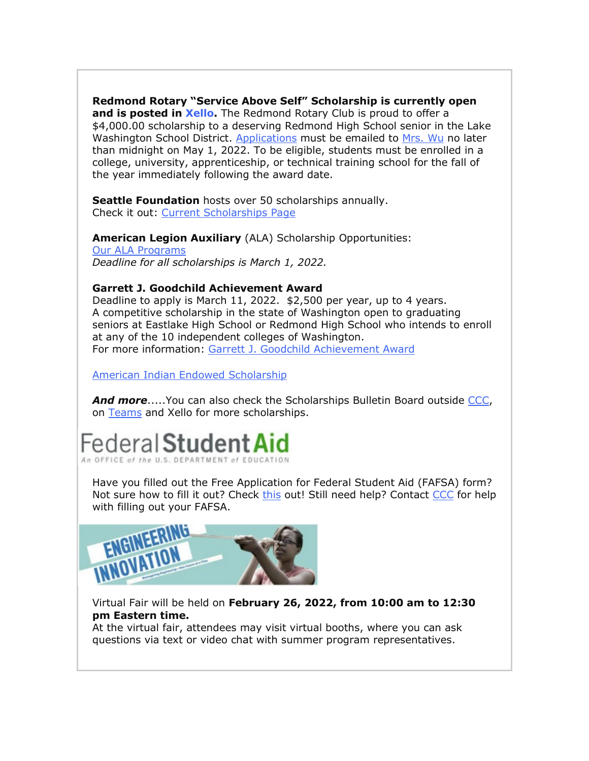**Redmond Rotary "Service Above Self" Scholarship is currently open** 

**and is posted in [Xello.](https://nam02.safelinks.protection.outlook.com/?url=http%3A%2F%2Flink.email.dynect.net%2Flink.php%3FDynEngagement%3Dtrue%26H%3De%252BlHqQR4V3v4VMvJ3m0NDL9Oyn7EjMegyw%252Bn2w4NNScdI7r2YcSRy2YdWdBdlvVoZRf4TXbw4L7LOlkoByYYHYkaVzl64XmH55G6VMz76DuJzEYB9brhAw%253D%253D%26G%3D0%26R%3Dhttps%253A%252F%252FSMPJGYZTANA.hatchbuck.com%252FTrackLinkClick%253FID2%253DlOut0khbQ1-nPGhUBVnYQC0Dh8q1Y6gxk_oVbUbbQ8AeQ4Z10PxL6tsadW0ZiN4g0%26I%3D20220225232215.000000ace0ae%2540smtp-ad2-50-phx%26X%3DMHwxMjY0OTIyOjI1MDE5MjY2NTU7MXwxMjY0OTIzOjE5NzE4OTE5Mjs%253D%26V%3D3%26S%3DPD54_vw-jHuP5bu2-I4QCcQY68jJszciYQyWTcy8Qdc&data=04%7C01%7Cmwood%40lwsd.org%7C42e18cd879474e61e2c408d9f8b5a9be%7C1fd4673fdf9646218638a1d88c4c85d7%7C0%7C0%7C637814281399746549%7CUnknown%7CTWFpbGZsb3d8eyJWIjoiMC4wLjAwMDAiLCJQIjoiV2luMzIiLCJBTiI6Ik1haWwiLCJXVCI6Mn0%3D%7C3000&sdata=Mbyzl6PpTMCleSh7XOV9yTZ1KCqRxNrILD0DrxMsGHg%3D&reserved=0)** The Redmond Rotary Club is proud to offer a \$4,000.00 scholarship to a deserving Redmond High School senior in the Lake Washington School District. [Applications](https://nam02.safelinks.protection.outlook.com/?url=http%3A%2F%2Flink.email.dynect.net%2Flink.php%3FDynEngagement%3Dtrue%26H%3De%252BlHqQR4V3v4VMvJ3m0NDL9Oyn7EjMegyw%252Bn2w4NNScdI7r2YcSRy2YdWdBdlvVoZRf4TXbw4L7LOlkoByYYHYkaVzl64XmH55G6VMz76DuJzEYB9brhAw%253D%253D%26G%3D0%26R%3Dhttps%253A%252F%252FSMPJGYZTANA.hatchbuck.com%252FTrackLinkClick%253FID2%253DMdbrJtplAevm5Zt6f21aUHaNljyOsRrk_Ec4gPKyqytsgvwtXF4DYsAF1BDMCrhT0%26I%3D20220225232215.000000ace0ae%2540smtp-ad2-50-phx%26X%3DMHwxMjY0OTIyOjI1MDE5MjY2NTU7MXwxMjY0OTIzOjE5NzE4OTE5Mjs%253D%26V%3D3%26S%3D2SaPescxfH_JF5ClD1mZB7VdWaU6uR_mhq0gxb0MouI&data=04%7C01%7Cmwood%40lwsd.org%7C42e18cd879474e61e2c408d9f8b5a9be%7C1fd4673fdf9646218638a1d88c4c85d7%7C0%7C0%7C637814281399746549%7CUnknown%7CTWFpbGZsb3d8eyJWIjoiMC4wLjAwMDAiLCJQIjoiV2luMzIiLCJBTiI6Ik1haWwiLCJXVCI6Mn0%3D%7C3000&sdata=TwgKabkiQiMGNwn68xBZM4KjhF7PD09j17yzNTeQj5w%3D&reserved=0) must be emailed to [Mrs. Wu](mailto:rwu@lwsd.org) no later than midnight on May 1, 2022. To be eligible, students must be enrolled in a college, university, apprenticeship, or technical training school for the fall of the year immediately following the award date.

**Seattle Foundation** hosts over 50 scholarships annually. Check it out: [Current Scholarships Page](https://nam02.safelinks.protection.outlook.com/?url=http%3A%2F%2Flink.email.dynect.net%2Flink.php%3FDynEngagement%3Dtrue%26H%3De%252BlHqQR4V3v4VMvJ3m0NDL9Oyn7EjMegyw%252Bn2w4NNScdI7r2YcSRy2YdWdBdlvVoZRf4TXbw4L7LOlkoByYYHYkaVzl64XmH55G6VMz76DuJzEYB9brhAw%253D%253D%26G%3D0%26R%3Dhttps%253A%252F%252FSMPJGYZTANA.hatchbuck.com%252FTrackLinkClick%253FID2%253DNtoaiWS9NWQy7BdPnydoYNbJmp2yDkj8C7zwqDrRyPGw7ZGyoyAxmqh53SgebDpN0%26I%3D20220225232215.000000ace0ae%2540smtp-ad2-50-phx%26X%3DMHwxMjY0OTIyOjI1MDE5MjY2NTU7MXwxMjY0OTIzOjE5NzE4OTE5Mjs%253D%26V%3D3%26S%3DcaS22Qm-LZ7cQ8RmkjpfsrKDOV-GQ_FpJR65-0vBm5c&data=04%7C01%7Cmwood%40lwsd.org%7C42e18cd879474e61e2c408d9f8b5a9be%7C1fd4673fdf9646218638a1d88c4c85d7%7C0%7C0%7C637814281399746549%7CUnknown%7CTWFpbGZsb3d8eyJWIjoiMC4wLjAwMDAiLCJQIjoiV2luMzIiLCJBTiI6Ik1haWwiLCJXVCI6Mn0%3D%7C3000&sdata=XUvI7P3nSB4LziIj3%2BDhoVtcMr1eqdbTtrWUUiy%2Be0g%3D&reserved=0)

**American Legion Auxiliary** (ALA) Scholarship Opportunities: [Our ALA Programs](https://nam02.safelinks.protection.outlook.com/?url=http%3A%2F%2Flink.email.dynect.net%2Flink.php%3FDynEngagement%3Dtrue%26H%3De%252BlHqQR4V3v4VMvJ3m0NDL9Oyn7EjMegyw%252Bn2w4NNScdI7r2YcSRy2YdWdBdlvVoZRf4TXbw4L7LOlkoByYYHYkaVzl64XmH55G6VMz76DuJzEYB9brhAw%253D%253D%26G%3D0%26R%3Dhttps%253A%252F%252FSMPJGYZTANA.hatchbuck.com%252FTrackLinkClick%253FID2%253D7XtIc10cFnn-zhmYi0YPfbtBHxMEE2DoVoDQ5JGMV2Epk_3vdUpKBdO-B0Q9fhia0%26I%3D20220225232215.000000ace0ae%2540smtp-ad2-50-phx%26X%3DMHwxMjY0OTIyOjI1MDE5MjY2NTU7MXwxMjY0OTIzOjE5NzE4OTE5Mjs%253D%26V%3D3%26S%3DJ5iQ7ngVGp1_3HYT7DV3Bd2zmPK9tBicfF2azqxGFCY&data=04%7C01%7Cmwood%40lwsd.org%7C42e18cd879474e61e2c408d9f8b5a9be%7C1fd4673fdf9646218638a1d88c4c85d7%7C0%7C0%7C637814281399746549%7CUnknown%7CTWFpbGZsb3d8eyJWIjoiMC4wLjAwMDAiLCJQIjoiV2luMzIiLCJBTiI6Ik1haWwiLCJXVCI6Mn0%3D%7C3000&sdata=bU54WIPMyQuuYniEWR%2FFH7bydUml0SvpqPcb8lrA1Xo%3D&reserved=0) *Deadline for all scholarships is March 1, 2022.*

#### **Garrett J. Goodchild Achievement Award**

Deadline to apply is March 11, 2022. \$2,500 per year, up to 4 years. A competitive scholarship in the state of Washington open to graduating seniors at Eastlake High School or Redmond High School who intends to enroll at any of the 10 independent colleges of Washington. For more information: [Garrett J. Goodchild Achievement Award](https://nam02.safelinks.protection.outlook.com/?url=http%3A%2F%2Flink.email.dynect.net%2Flink.php%3FDynEngagement%3Dtrue%26H%3De%252BlHqQR4V3v4VMvJ3m0NDL9Oyn7EjMegyw%252Bn2w4NNScdI7r2YcSRy2YdWdBdlvVoZRf4TXbw4L7LOlkoByYYHYkaVzl64XmH55G6VMz76DuJzEYB9brhAw%253D%253D%26G%3D0%26R%3Dhttps%253A%252F%252FSMPJGYZTANA.hatchbuck.com%252FTrackLinkClick%253FID2%253D24il87dE2UDRim-TsAI0BZhxKzh7QiSRP7NM-2DZuvqFGRpmHiILzDQvFW2J5qGW0%26I%3D20220225232215.000000ace0ae%2540smtp-ad2-50-phx%26X%3DMHwxMjY0OTIyOjI1MDE5MjY2NTU7MXwxMjY0OTIzOjE5NzE4OTE5Mjs%253D%26V%3D3%26S%3Dje3KUuvw7ps3lnX1UHTHy_X9MsLZy-9zRmhcGOf8zfk&data=04%7C01%7Cmwood%40lwsd.org%7C42e18cd879474e61e2c408d9f8b5a9be%7C1fd4673fdf9646218638a1d88c4c85d7%7C0%7C0%7C637814281399746549%7CUnknown%7CTWFpbGZsb3d8eyJWIjoiMC4wLjAwMDAiLCJQIjoiV2luMzIiLCJBTiI6Ik1haWwiLCJXVCI6Mn0%3D%7C3000&sdata=6AFC4qvkkL40ewQM%2Firx3N1kd6eQqULu76eDCd%2Fz5Gs%3D&reserved=0)

[American Indian Endowed Scholarship](https://nam02.safelinks.protection.outlook.com/?url=http%3A%2F%2Flink.email.dynect.net%2Flink.php%3FDynEngagement%3Dtrue%26H%3De%252BlHqQR4V3v4VMvJ3m0NDL9Oyn7EjMegyw%252Bn2w4NNScdI7r2YcSRy2YdWdBdlvVoZRf4TXbw4L7LOlkoByYYHYkaVzl64XmH55G6VMz76DuJzEYB9brhAw%253D%253D%26G%3D0%26R%3Dhttps%253A%252F%252FSMPJGYZTANA.hatchbuck.com%252FTrackLinkClick%253FID2%253DnyTpGmnrs9bXT8mCgBKvFZBrQceRwjRSuHp0SbYBg2RDRRcyLpz5FdabyDu-FJJf0%26I%3D20220225232215.000000ace0ae%2540smtp-ad2-50-phx%26X%3DMHwxMjY0OTIyOjI1MDE5MjY2NTU7MXwxMjY0OTIzOjE5NzE4OTE5Mjs%253D%26V%3D3%26S%3DxQWsScXbBtNexWxYeGhEJMaRp3SNPpEiF-Cyf3xNkcM&data=04%7C01%7Cmwood%40lwsd.org%7C42e18cd879474e61e2c408d9f8b5a9be%7C1fd4673fdf9646218638a1d88c4c85d7%7C0%7C0%7C637814281399746549%7CUnknown%7CTWFpbGZsb3d8eyJWIjoiMC4wLjAwMDAiLCJQIjoiV2luMzIiLCJBTiI6Ik1haWwiLCJXVCI6Mn0%3D%7C3000&sdata=cCLcT9Y1Qv0B9I5urvko3C6yehUMcX9r%2B6aUYtiE1so%3D&reserved=0)

*And more*.....You can also check the Scholarships Bulletin Board outside [CCC,](mailto:rwu@lwsd.org) on [Teams](https://nam02.safelinks.protection.outlook.com/?url=http%3A%2F%2Flink.email.dynect.net%2Flink.php%3FDynEngagement%3Dtrue%26H%3De%252BlHqQR4V3v4VMvJ3m0NDL9Oyn7EjMegyw%252Bn2w4NNScdI7r2YcSRy2YdWdBdlvVoZRf4TXbw4L7LOlkoByYYHYkaVzl64XmH55G6VMz76DuJzEYB9brhAw%253D%253D%26G%3D0%26R%3Dhttps%253A%252F%252FSMPJGYZTANA.hatchbuck.com%252FTrackLinkClick%253FID2%253D-R-p4xsvE8pCQ6Ai11tzzQ6osjTNC4agIGoKoYoBLeTqEnpiSChu5jPJxPxIxMM80%26I%3D20220225232215.000000ace0ae%2540smtp-ad2-50-phx%26X%3DMHwxMjY0OTIyOjI1MDE5MjY2NTU7MXwxMjY0OTIzOjE5NzE4OTE5Mjs%253D%26V%3D3%26S%3DPqZ-oiHfnh1OPEsks9YCQbjqPVwthqgHMIABQ0-Ax9c&data=04%7C01%7Cmwood%40lwsd.org%7C42e18cd879474e61e2c408d9f8b5a9be%7C1fd4673fdf9646218638a1d88c4c85d7%7C0%7C0%7C637814281399746549%7CUnknown%7CTWFpbGZsb3d8eyJWIjoiMC4wLjAwMDAiLCJQIjoiV2luMzIiLCJBTiI6Ik1haWwiLCJXVCI6Mn0%3D%7C3000&sdata=gJ26dLXCA8Y6KUgGQvVA2hcOTY8h5lg1BSTA17Op4p0%3D&reserved=0) and Xello for more scholarships.



Have you filled out the Free Application for Federal Student Aid (FAFSA) form? Not sure how to fill it out? Check [this](https://nam02.safelinks.protection.outlook.com/?url=http%3A%2F%2Flink.email.dynect.net%2Flink.php%3FDynEngagement%3Dtrue%26H%3De%252BlHqQR4V3v4VMvJ3m0NDL9Oyn7EjMegyw%252Bn2w4NNScdI7r2YcSRy2YdWdBdlvVoZRf4TXbw4L7LOlkoByYYHYkaVzl64XmH55G6VMz76DuJzEYB9brhAw%253D%253D%26G%3D0%26R%3Dhttps%253A%252F%252FSMPJGYZTANA.hatchbuck.com%252FTrackLinkClick%253FID2%253DZ4kcsE3-Io5C_-Srh4j0Uz-UTyvU1rr8pWHP0_Er8-SJbccDyQxqdcdpNdKwxDPW0%26I%3D20220225232215.000000ace0ae%2540smtp-ad2-50-phx%26X%3DMHwxMjY0OTIyOjI1MDE5MjY2NTU7MXwxMjY0OTIzOjE5NzE4OTE5Mjs%253D%26V%3D3%26S%3DNtTpDZcbOZ4WizVfgxjASkTtz1QkKp3DwWAlDRGXT2w&data=04%7C01%7Cmwood%40lwsd.org%7C42e18cd879474e61e2c408d9f8b5a9be%7C1fd4673fdf9646218638a1d88c4c85d7%7C0%7C0%7C637814281399746549%7CUnknown%7CTWFpbGZsb3d8eyJWIjoiMC4wLjAwMDAiLCJQIjoiV2luMzIiLCJBTiI6Ik1haWwiLCJXVCI6Mn0%3D%7C3000&sdata=MPR3rFFiQCHxgk8fnw5bLWdHYwKhNhSmsJt%2F0HTBNSE%3D&reserved=0) out! Still need help? Contact [CCC](mailto:rwu@lwsd.org) for help with filling out your FAFSA.



Virtual Fair will be held on **February 26, 2022, from 10:00 am to 12:30 pm Eastern time.**

At the virtual fair, attendees may visit virtual booths, where you can ask questions via text or video chat with summer program representatives.